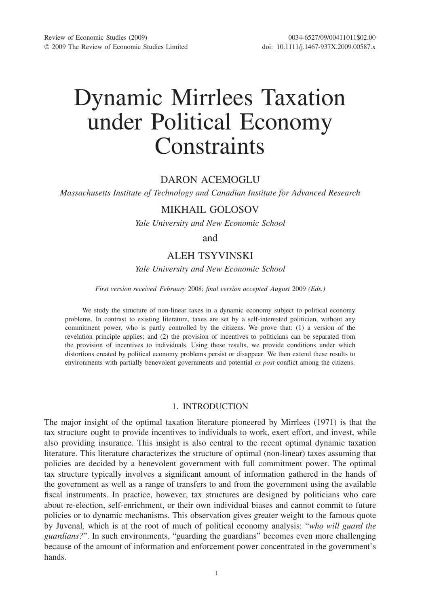# Dynamic Mirrlees Taxation under Political Economy **Constraints**

## DARON ACEMOGLU

*Massachusetts Institute of Technology and Canadian Institute for Advanced Research*

# MIKHAIL GOLOSOV

*Yale University and New Economic School*

and

# ALEH TSYVINSKI

*Yale University and New Economic School*

*First version received February* 2008; *final version accepted August* 2009 *(Eds.)*

We study the structure of non-linear taxes in a dynamic economy subject to political economy problems. In contrast to existing literature, taxes are set by a self-interested politician, without any commitment power, who is partly controlled by the citizens. We prove that: (1) a version of the revelation principle applies; and (2) the provision of incentives to politicians can be separated from the provision of incentives to individuals. Using these results, we provide conditions under which distortions created by political economy problems persist or disappear. We then extend these results to environments with partially benevolent governments and potential *ex post* conflict among the citizens.

## 1. INTRODUCTION

The major insight of the optimal taxation literature pioneered by Mirrlees (1971) is that the tax structure ought to provide incentives to individuals to work, exert effort, and invest, while also providing insurance. This insight is also central to the recent optimal dynamic taxation literature. This literature characterizes the structure of optimal (non-linear) taxes assuming that policies are decided by a benevolent government with full commitment power. The optimal tax structure typically involves a significant amount of information gathered in the hands of the government as well as a range of transfers to and from the government using the available fiscal instruments. In practice, however, tax structures are designed by politicians who care about re-election, self-enrichment, or their own individual biases and cannot commit to future policies or to dynamic mechanisms. This observation gives greater weight to the famous quote by Juvenal, which is at the root of much of political economy analysis: "*who will guard the guardians?*". In such environments, "guarding the guardians" becomes even more challenging because of the amount of information and enforcement power concentrated in the government's hands.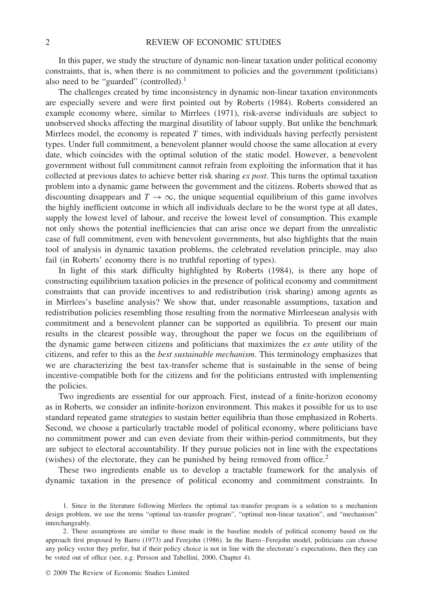In this paper, we study the structure of dynamic non-linear taxation under political economy constraints, that is, when there is no commitment to policies and the government (politicians) also need to be "guarded" (controlled).<sup>1</sup>

The challenges created by time inconsistency in dynamic non-linear taxation environments are especially severe and were first pointed out by Roberts (1984). Roberts considered an example economy where, similar to Mirrlees (1971), risk-averse individuals are subject to unobserved shocks affecting the marginal disutility of labour supply. But unlike the benchmark Mirrlees model, the economy is repeated *T* times, with individuals having perfectly persistent types. Under full commitment, a benevolent planner would choose the same allocation at every date, which coincides with the optimal solution of the static model. However, a benevolent government without full commitment cannot refrain from exploiting the information that it has collected at previous dates to achieve better risk sharing *ex post*. This turns the optimal taxation problem into a dynamic game between the government and the citizens. Roberts showed that as discounting disappears and  $T \to \infty$ , the unique sequential equilibrium of this game involves the highly inefficient outcome in which all individuals declare to be the worst type at all dates, supply the lowest level of labour, and receive the lowest level of consumption. This example not only shows the potential inefficiencies that can arise once we depart from the unrealistic case of full commitment, even with benevolent governments, but also highlights that the main tool of analysis in dynamic taxation problems, the celebrated revelation principle, may also fail (in Roberts' economy there is no truthful reporting of types).

In light of this stark difficulty highlighted by Roberts (1984), is there any hope of constructing equilibrium taxation policies in the presence of political economy and commitment constraints that can provide incentives to and redistribution (risk sharing) among agents as in Mirrlees's baseline analysis? We show that, under reasonable assumptions, taxation and redistribution policies resembling those resulting from the normative Mirrleesean analysis with commitment and a benevolent planner can be supported as equilibria. To present our main results in the clearest possible way, throughout the paper we focus on the equilibrium of the dynamic game between citizens and politicians that maximizes the *ex ante* utility of the citizens, and refer to this as the *best sustainable mechanism*. This terminology emphasizes that we are characterizing the best tax-transfer scheme that is sustainable in the sense of being incentive-compatible both for the citizens and for the politicians entrusted with implementing the policies.

Two ingredients are essential for our approach. First, instead of a finite-horizon economy as in Roberts, we consider an infinite-horizon environment. This makes it possible for us to use standard repeated game strategies to sustain better equilibria than those emphasized in Roberts. Second, we choose a particularly tractable model of political economy, where politicians have no commitment power and can even deviate from their within-period commitments, but they are subject to electoral accountability. If they pursue policies not in line with the expectations (wishes) of the electorate, they can be punished by being removed from office.<sup>2</sup>

These two ingredients enable us to develop a tractable framework for the analysis of dynamic taxation in the presence of political economy and commitment constraints. In

<sup>1.</sup> Since in the literature following Mirrlees the optimal tax-transfer program is a solution to a mechanism design problem, we use the terms "optimal tax-transfer program", "optimal non-linear taxation", and "mechanism" interchangeably.

<sup>2.</sup> These assumptions are similar to those made in the baseline models of political economy based on the approach first proposed by Barro (1973) and Ferejohn (1986). In the Barro–Ferejohn model, politicians can choose any policy vector they prefer, but if their policy choice is not in line with the electorate's expectations, then they can be voted out of office (see, e.g. Persson and Tabellini, 2000, Chapter 4).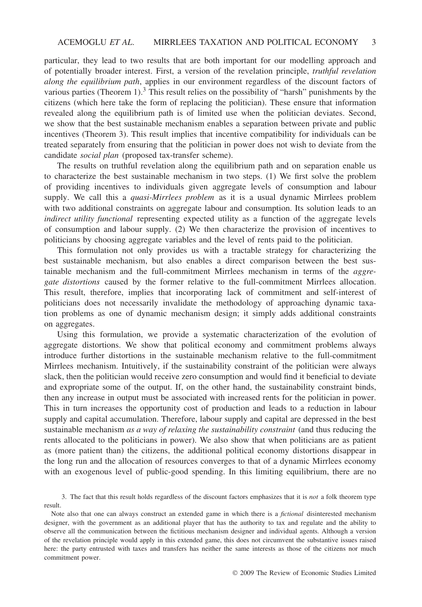particular, they lead to two results that are both important for our modelling approach and of potentially broader interest. First, a version of the revelation principle, *truthful revelation along the equilibrium path*, applies in our environment regardless of the discount factors of various parties (Theorem 1). $3$  This result relies on the possibility of "harsh" punishments by the citizens (which here take the form of replacing the politician). These ensure that information revealed along the equilibrium path is of limited use when the politician deviates. Second, we show that the best sustainable mechanism enables a separation between private and public incentives (Theorem 3). This result implies that incentive compatibility for individuals can be treated separately from ensuring that the politician in power does not wish to deviate from the candidate *social plan* (proposed tax-transfer scheme).

The results on truthful revelation along the equilibrium path and on separation enable us to characterize the best sustainable mechanism in two steps. (1) We first solve the problem of providing incentives to individuals given aggregate levels of consumption and labour supply. We call this a *quasi-Mirrlees problem* as it is a usual dynamic Mirrlees problem with two additional constraints on aggregate labour and consumption. Its solution leads to an *indirect utility functional* representing expected utility as a function of the aggregate levels of consumption and labour supply. (2) We then characterize the provision of incentives to politicians by choosing aggregate variables and the level of rents paid to the politician.

This formulation not only provides us with a tractable strategy for characterizing the best sustainable mechanism, but also enables a direct comparison between the best sustainable mechanism and the full-commitment Mirrlees mechanism in terms of the *aggregate distortions* caused by the former relative to the full-commitment Mirrlees allocation. This result, therefore, implies that incorporating lack of commitment and self-interest of politicians does not necessarily invalidate the methodology of approaching dynamic taxation problems as one of dynamic mechanism design; it simply adds additional constraints on aggregates.

Using this formulation, we provide a systematic characterization of the evolution of aggregate distortions. We show that political economy and commitment problems always introduce further distortions in the sustainable mechanism relative to the full-commitment Mirrlees mechanism. Intuitively, if the sustainability constraint of the politician were always slack, then the politician would receive zero consumption and would find it beneficial to deviate and expropriate some of the output. If, on the other hand, the sustainability constraint binds, then any increase in output must be associated with increased rents for the politician in power. This in turn increases the opportunity cost of production and leads to a reduction in labour supply and capital accumulation. Therefore, labour supply and capital are depressed in the best sustainable mechanism *as a way of relaxing the sustainability constraint* (and thus reducing the rents allocated to the politicians in power). We also show that when politicians are as patient as (more patient than) the citizens, the additional political economy distortions disappear in the long run and the allocation of resources converges to that of a dynamic Mirrlees economy with an exogenous level of public-good spending. In this limiting equilibrium, there are no

3. The fact that this result holds regardless of the discount factors emphasizes that it is *not* a folk theorem type result.

Note also that one can always construct an extended game in which there is a *fictional* disinterested mechanism designer, with the government as an additional player that has the authority to tax and regulate and the ability to observe all the communication between the fictitious mechanism designer and individual agents. Although a version of the revelation principle would apply in this extended game, this does not circumvent the substantive issues raised here: the party entrusted with taxes and transfers has neither the same interests as those of the citizens nor much commitment power.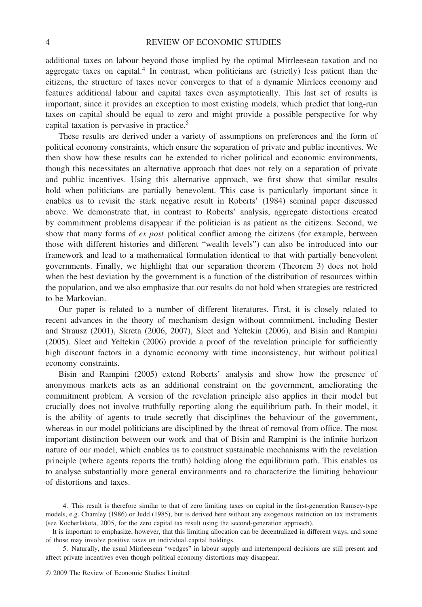## 4 REVIEW OF ECONOMIC STUDIES

additional taxes on labour beyond those implied by the optimal Mirrleesean taxation and no aggregate taxes on capital.4 In contrast, when politicians are (strictly) less patient than the citizens, the structure of taxes never converges to that of a dynamic Mirrlees economy and features additional labour and capital taxes even asymptotically. This last set of results is important, since it provides an exception to most existing models, which predict that long-run taxes on capital should be equal to zero and might provide a possible perspective for why capital taxation is pervasive in practice.<sup>5</sup>

These results are derived under a variety of assumptions on preferences and the form of political economy constraints, which ensure the separation of private and public incentives. We then show how these results can be extended to richer political and economic environments, though this necessitates an alternative approach that does not rely on a separation of private and public incentives. Using this alternative approach, we first show that similar results hold when politicians are partially benevolent. This case is particularly important since it enables us to revisit the stark negative result in Roberts' (1984) seminal paper discussed above. We demonstrate that, in contrast to Roberts' analysis, aggregate distortions created by commitment problems disappear if the politician is as patient as the citizens. Second, we show that many forms of *ex post* political conflict among the citizens (for example, between those with different histories and different "wealth levels") can also be introduced into our framework and lead to a mathematical formulation identical to that with partially benevolent governments. Finally, we highlight that our separation theorem (Theorem 3) does not hold when the best deviation by the government is a function of the distribution of resources within the population, and we also emphasize that our results do not hold when strategies are restricted to be Markovian.

Our paper is related to a number of different literatures. First, it is closely related to recent advances in the theory of mechanism design without commitment, including Bester and Strausz (2001), Skreta (2006, 2007), Sleet and Yeltekin (2006), and Bisin and Rampini (2005). Sleet and Yeltekin (2006) provide a proof of the revelation principle for sufficiently high discount factors in a dynamic economy with time inconsistency, but without political economy constraints.

Bisin and Rampini (2005) extend Roberts' analysis and show how the presence of anonymous markets acts as an additional constraint on the government, ameliorating the commitment problem. A version of the revelation principle also applies in their model but crucially does not involve truthfully reporting along the equilibrium path. In their model, it is the ability of agents to trade secretly that disciplines the behaviour of the government, whereas in our model politicians are disciplined by the threat of removal from office. The most important distinction between our work and that of Bisin and Rampini is the infinite horizon nature of our model, which enables us to construct sustainable mechanisms with the revelation principle (where agents reports the truth) holding along the equilibrium path. This enables us to analyse substantially more general environments and to characterize the limiting behaviour of distortions and taxes.

5. Naturally, the usual Mirrleesean "wedges" in labour supply and intertemporal decisions are still present and affect private incentives even though political economy distortions may disappear.

<sup>4.</sup> This result is therefore similar to that of zero limiting taxes on capital in the first-generation Ramsey-type models, e.g. Chamley (1986) or Judd (1985), but is derived here without any exogenous restriction on tax instruments (see Kocherlakota, 2005, for the zero capital tax result using the second-generation approach).

It is important to emphasize, however, that this limiting allocation can be decentralized in different ways, and some of those may involve positive taxes on individual capital holdings.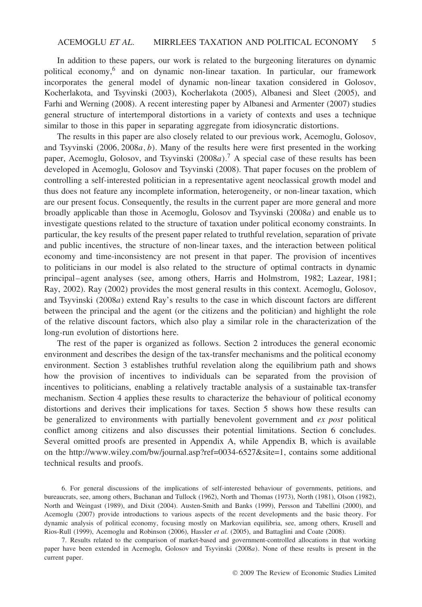In addition to these papers, our work is related to the burgeoning literatures on dynamic political economy,6 and on dynamic non-linear taxation. In particular, our framework incorporates the general model of dynamic non-linear taxation considered in Golosov, Kocherlakota, and Tsyvinski (2003), Kocherlakota (2005), Albanesi and Sleet (2005), and Farhi and Werning (2008). A recent interesting paper by Albanesi and Armenter (2007) studies general structure of intertemporal distortions in a variety of contexts and uses a technique similar to those in this paper in separating aggregate from idiosyncratic distortions.

The results in this paper are also closely related to our previous work, Acemoglu, Golosov, and Tsyvinski *(*2006*,* 2008*a,b)*. Many of the results here were first presented in the working paper, Acemoglu, Golosov, and Tsyvinski *(*2008*a)*. <sup>7</sup> A special case of these results has been developed in Acemoglu, Golosov and Tsyvinski (2008). That paper focuses on the problem of controlling a self-interested politician in a representative agent neoclassical growth model and thus does not feature any incomplete information, heterogeneity, or non-linear taxation, which are our present focus. Consequently, the results in the current paper are more general and more broadly applicable than those in Acemoglu, Golosov and Tsyvinski *(*2008*a)* and enable us to investigate questions related to the structure of taxation under political economy constraints. In particular, the key results of the present paper related to truthful revelation, separation of private and public incentives, the structure of non-linear taxes, and the interaction between political economy and time-inconsistency are not present in that paper. The provision of incentives to politicians in our model is also related to the structure of optimal contracts in dynamic principal–agent analyses (see, among others, Harris and Holmstrom, 1982; Lazear, 1981; Ray, 2002). Ray (2002) provides the most general results in this context. Acemoglu, Golosov, and Tsyvinski *(*2008*a)* extend Ray's results to the case in which discount factors are different between the principal and the agent (or the citizens and the politician) and highlight the role of the relative discount factors, which also play a similar role in the characterization of the long-run evolution of distortions here.

The rest of the paper is organized as follows. Section 2 introduces the general economic environment and describes the design of the tax-transfer mechanisms and the political economy environment. Section 3 establishes truthful revelation along the equilibrium path and shows how the provision of incentives to individuals can be separated from the provision of incentives to politicians, enabling a relatively tractable analysis of a sustainable tax-transfer mechanism. Section 4 applies these results to characterize the behaviour of political economy distortions and derives their implications for taxes. Section 5 shows how these results can be generalized to environments with partially benevolent government and *ex post* political conflict among citizens and also discusses their potential limitations. Section 6 concludes. Several omitted proofs are presented in Appendix A, while Appendix B, which is available on the http://www.wiley.com/bw/journal.asp?ref=0034-6527&site=1, contains some additional technical results and proofs.

<sup>6.</sup> For general discussions of the implications of self-interested behaviour of governments, petitions, and bureaucrats, see, among others, Buchanan and Tullock (1962), North and Thomas (1973), North (1981), Olson (1982), North and Weingast (1989), and Dixit (2004). Austen-Smith and Banks (1999), Persson and Tabellini (2000), and Acemoglu (2007) provide introductions to various aspects of the recent developments and the basic theory. For dynamic analysis of political economy, focusing mostly on Markovian equilibria, see, among others, Krusell and Rios-Rull (1999), Acemoglu and Robinson (2006), Hassler *et al.* (2005), and Battaglini and Coate (2008).

<sup>7.</sup> Results related to the comparison of market-based and government-controlled allocations in that working paper have been extended in Acemoglu, Golosov and Tsyvinski *(*2008*a)*. None of these results is present in the current paper.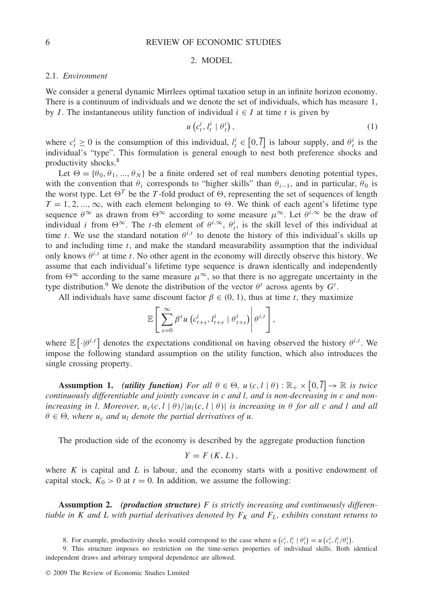## 6 REVIEW OF ECONOMIC STUDIES

## 2. MODEL

## 2.1. *Environment*

We consider a general dynamic Mirrlees optimal taxation setup in an infinite horizon economy. There is a continuum of individuals and we denote the set of individuals, which has measure 1, by *I*. The instantaneous utility function of individual  $i \in I$  at time *t* is given by

$$
u\left(c_t^i, l_t^i \mid \theta_t^i\right),\tag{1}
$$

where  $c_t^i \geq 0$  is the consumption of this individual,  $l_t^i \in [0, \overline{l}]$  is labour supply, and  $\theta_t^i$  is the individual's "type". This formulation is general enough to nest both preference shocks and productivity shocks.8

Let  $\Theta = {\theta_0, \theta_1, ..., \theta_N}$  be a finite ordered set of real numbers denoting potential types, with the convention that  $\theta_i$  corresponds to "higher skills" than  $\theta_{i-1}$ , and in particular,  $\theta_0$  is the worst type. Let  $\Theta^T$  be the *T*-fold product of  $\Theta$ , representing the set of sequences of length  $T = 1, 2, ..., \infty$ , with each element belonging to  $\Theta$ . We think of each agent's lifetime type sequence  $\theta^{\infty}$  as drawn from  $\Theta^{\infty}$  according to some measure  $\mu^{\infty}$ . Let  $\theta^{i,\infty}$  be the draw of individual *i* from  $\Theta^{\infty}$ . The *t*-th element of  $\theta^{i,\infty}$ ,  $\theta_i^i$ , is the skill level of this individual at time *t*. We use the standard notation  $\theta^{i,t}$  to denote the history of this individual's skills up to and including time *t*, and make the standard measurability assumption that the individual only knows  $\theta^{i,t}$  at time *t*. No other agent in the economy will directly observe this history. We assume that each individual's lifetime type sequence is drawn identically and independently from  $\Theta^{\infty}$  according to the same measure  $\mu^{\infty}$ , so that there is no aggregate uncertainty in the type distribution.<sup>9</sup> We denote the distribution of the vector  $\theta^t$  across agents by  $G^t$ .

All individuals have same discount factor  $\beta \in (0, 1)$ , thus at time *t*, they maximize

$$
\mathbb{E}\left[\left.\sum_{s=0}^{\infty}\beta^{s} u\left(c_{t+s}^{i},l_{t+s}^{i} \mid \theta_{t+s}^{i}\right)\right|\theta^{i,t}\right],
$$

where  $\mathbb{E}[\cdot|\theta^{i,t}]$  denotes the expectations conditional on having observed the history  $\theta^{i,t}$ . We impose the following standard assumption on the utility function, which also introduces the single crossing property.

**Assumption 1.** *(utility function) For all*  $\theta \in \Theta$ ,  $u(c, l | \theta) : \mathbb{R}_+ \times [0, l] \to \mathbb{R}$  *is twice continuously differentiable and jointly concave in c and l, and is non-decreasing in c and nonincreasing in l. Moreover,*  $u_c(c, l | \theta) / |u_l(c, l | \theta)|$  *is increasing in*  $\theta$  *for all c and l and all*  $\theta \in \Theta$ , where  $u_c$  *and*  $u_l$  *denote the partial derivatives of u.* 

The production side of the economy is described by the aggregate production function

$$
Y=F(K,L),
$$

where *K* is capital and *L* is labour, and the economy starts with a positive endowment of capital stock,  $K_0 > 0$  at  $t = 0$ . In addition, we assume the following:

**Assumption 2.** *(production structure) F is strictly increasing and continuously differentiable in K and L with partial derivatives denoted by*  $F_K$  *and*  $F_L$ *, exhibits constant returns to* 

8. For example, productivity shocks would correspond to the case where  $u(c_i^i, l_i^i | \theta_i^i) = u(c_i^i, l_i^i / \theta_i^i)$ .

9. This structure imposes no restriction on the time-series properties of individual skills. Both identical independent draws and arbitrary temporal dependence are allowed.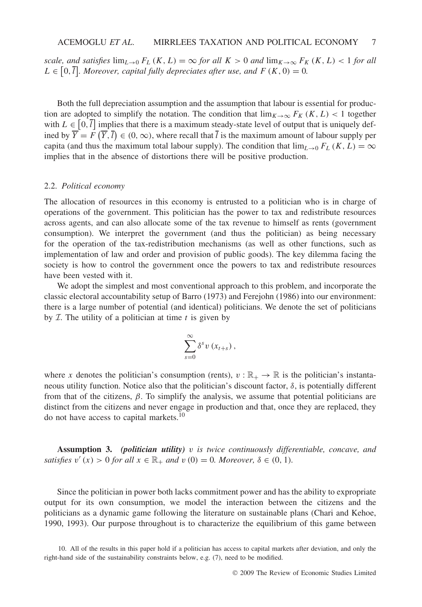*scale, and satisfies*  $\lim_{L\to 0} F_L(K, L) = \infty$  *for all*  $K > 0$  *and*  $\lim_{K\to\infty} F_K(K, L) < 1$  *for all*  $L \in [0, \overline{l}]$ *. Moreover, capital fully depreciates after use, and*  $F(K, 0) = 0$ *.* 

Both the full depreciation assumption and the assumption that labour is essential for production are adopted to simplify the notation. The condition that  $\lim_{K\to\infty} F_K(K,L)$  < 1 together with  $L \in [0, \overline{l}]$  implies that there is a maximum steady-state level of output that is uniquely defined by  $\overline{Y} = F(\overline{Y}, \overline{l}) \in (0, \infty)$ , where recall that  $\overline{l}$  is the maximum amount of labour supply per capita (and thus the maximum total labour supply). The condition that  $\lim_{L\to 0} F_L(K,L) = \infty$ implies that in the absence of distortions there will be positive production.

## 2.2. *Political economy*

The allocation of resources in this economy is entrusted to a politician who is in charge of operations of the government. This politician has the power to tax and redistribute resources across agents, and can also allocate some of the tax revenue to himself as rents (government consumption). We interpret the government (and thus the politician) as being necessary for the operation of the tax-redistribution mechanisms (as well as other functions, such as implementation of law and order and provision of public goods). The key dilemma facing the society is how to control the government once the powers to tax and redistribute resources have been vested with it.

We adopt the simplest and most conventional approach to this problem, and incorporate the classic electoral accountability setup of Barro (1973) and Ferejohn (1986) into our environment: there is a large number of potential (and identical) politicians. We denote the set of politicians by  $I$ . The utility of a politician at time  $t$  is given by

$$
\sum_{s=0}^{\infty} \delta^s v\left(x_{t+s}\right),\,
$$

where *x* denotes the politician's consumption (rents),  $v : \mathbb{R}_+ \to \mathbb{R}$  is the politician's instantaneous utility function. Notice also that the politician's discount factor,  $\delta$ , is potentially different from that of the citizens,  $\beta$ . To simplify the analysis, we assume that potential politicians are distinct from the citizens and never engage in production and that, once they are replaced, they do not have access to capital markets.10

**Assumption 3.** *(politician utility) v is twice continuously differentiable, concave, and satisfies*  $v'(x) > 0$  *for all*  $x \in \mathbb{R}_+$  *and*  $v(0) = 0$ *. Moreover,*  $\delta \in (0, 1)$ *.* 

Since the politician in power both lacks commitment power and has the ability to expropriate output for its own consumption, we model the interaction between the citizens and the politicians as a dynamic game following the literature on sustainable plans (Chari and Kehoe, 1990, 1993). Our purpose throughout is to characterize the equilibrium of this game between

<sup>10.</sup> All of the results in this paper hold if a politician has access to capital markets after deviation, and only the right-hand side of the sustainability constraints below, e.g. (7), need to be modified.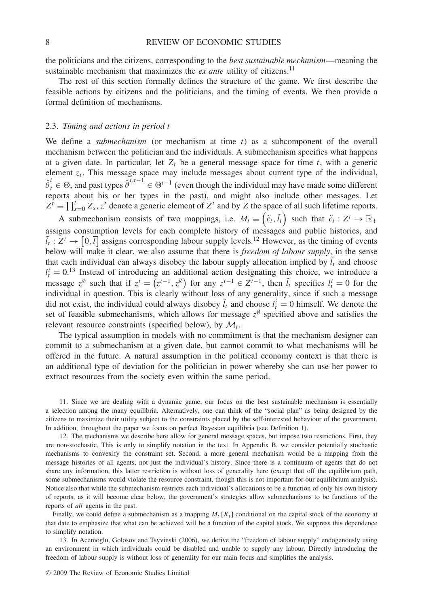the politicians and the citizens, corresponding to the *best sustainable mechanism*—meaning the sustainable mechanism that maximizes the  $ex$  anteautility of citizens.<sup>11</sup>

The rest of this section formally defines the structure of the game. We first describe the feasible actions by citizens and the politicians, and the timing of events. We then provide a formal definition of mechanisms.

## 2.3. *Timing and actions in period t*

We define a *submechanism* (or mechanism at time *t*) as a subcomponent of the overall mechanism between the politician and the individuals. A submechanism specifies what happens at a given date. In particular, let  $Z_t$  be a general message space for time  $t$ , with a generic element  $z_t$ . This message space may include messages about current type of the individual,  $\hat{\theta}^i_t \in \Theta$ , and past types  $\hat{\theta}^{i,t-1} \in \Theta^{t-1}$  (even though the individual may have made some different reports about his or her types in the past), and might also include other messages. Let  $Z^t \equiv \prod_{s=0}^t Z_s$ ,  $z^t$  denote a generic element of  $Z^t$  and by *Z* the space of all such lifetime reports.

A submechanism consists of two mappings, i.e.  $M_t \equiv (\tilde{c}_t, \tilde{l}_t)$  such that  $\tilde{c}_t : Z^t \to \mathbb{R}_+$ assigns consumption levels for each complete history of messages and public histories, and  $\tilde{l}_t : Z^t \to [0, \bar{t}]$  assigns corresponding labour supply levels.<sup>12</sup> However, as the timing of events below will make it clear, we also assume that there is *freedom of labour supply*, in the sense that each individual can always disobey the labour supply allocation implied by  $\bar{l}_t$  and choose  $l_t^i = 0$ <sup>13</sup> Instead of introducing an additional action designating this choice, we introduce a message  $z^{\emptyset}$  such that if  $z^t = (z^{t-1}, z^{\emptyset})$  for any  $z^{t-1} \in Z^{t-1}$ , then  $\tilde{l}_t$  specifies  $l_t^i = 0$  for the individual in question. This is clearly without loss of any generality, since if such a message did not exist, the individual could always disobey  $\tilde{l}_t$  and choose  $l_t^i = 0$  himself. We denote the set of feasible submechanisms, which allows for message  $z^{\emptyset}$  specified above and satisfies the relevant resource constraints (specified below), by  $\mathcal{M}_t$ .

The typical assumption in models with no commitment is that the mechanism designer can commit to a submechanism at a given date, but cannot commit to what mechanisms will be offered in the future. A natural assumption in the political economy context is that there is an additional type of deviation for the politician in power whereby she can use her power to extract resources from the society even within the same period.

11. Since we are dealing with a dynamic game, our focus on the best sustainable mechanism is essentially a selection among the many equilibria. Alternatively, one can think of the "social plan" as being designed by the citizens to maximize their utility subject to the constraints placed by the self-interested behaviour of the government. In addition, throughout the paper we focus on perfect Bayesian equilibria (see Definition 1).

12. The mechanisms we describe here allow for general message spaces, but impose two restrictions. First, they are non-stochastic. This is only to simplify notation in the text. In Appendix B, we consider potentially stochastic mechanisms to convexify the constraint set. Second, a more general mechanism would be a mapping from the message histories of all agents, not just the individual's history. Since there is a continuum of agents that do not share any information, this latter restriction is without loss of generality here (except that off the equilibrium path, some submechanisms would violate the resource constraint, though this is not important for our equilibrium analysis). Notice also that while the submechanism restricts each individual's allocations to be a function of only his own history of reports, as it will become clear below, the government's strategies allow submechanisms to be functions of the reports of *all* agents in the past.

Finally, we could define a submechanism as a mapping  $M_t$  [ $K_t$ ] conditional on the capital stock of the economy at that date to emphasize that what can be achieved will be a function of the capital stock. We suppress this dependence to simplify notation.

13. In Acemoglu, Golosov and Tsyvinski (2006), we derive the "freedom of labour supply" endogenously using an environment in which individuals could be disabled and unable to supply any labour. Directly introducing the freedom of labour supply is without loss of generality for our main focus and simplifies the analysis.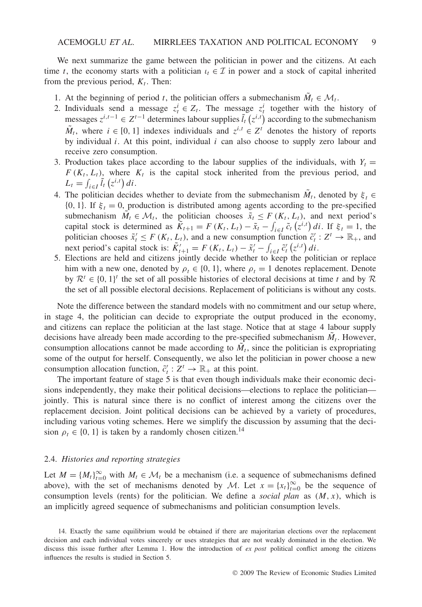We next summarize the game between the politician in power and the citizens. At each time *t*, the economy starts with a politician  $\iota_t \in \mathcal{I}$  in power and a stock of capital inherited from the previous period,  $K_t$ . Then:

- 1. At the beginning of period *t*, the politician offers a submechanism  $\tilde{M}_t \in \mathcal{M}_t$ .
- 2. Individuals send a message  $z_t^i \in Z_t$ . The message  $z_t^i$  together with the history of messages  $z^{i,t-1}$  ∈  $Z^{t-1}$  determines labour supplies  $\tilde{l}_t(z^{i,t})$  according to the submechanism *M*<sup>*t*</sup>, where *i* ∈ [0, 1] indexes individuals and  $z^{i,t}$  ∈  $Z^t$  denotes the history of reports by individual *i*. At this point, individual *i* can also choose to supply zero labour and receive zero consumption.
- 3. Production takes place according to the labour supplies of the individuals, with  $Y_t =$  $F(K_t, L_t)$ , where  $K_t$  is the capital stock inherited from the previous period, and  $L_t = \int_{i \in I} \tilde{l}_t (z^{i,t}) dt.$
- 4. The politician decides whether to deviate from the submechanism  $\tilde{M}_t$ , denoted by  $\xi_t \in$  $\{0, 1\}$ . If  $\xi_t = 0$ , production is distributed among agents according to the pre-specified submechanism  $\tilde{M}_t \in \mathcal{M}_t$ , the politician chooses  $\tilde{x}_t \leq F(K_t, L_t)$ , and next period's capital stock is determined as  $\tilde{K}_{t+1} = F(K_t, L_t) - \tilde{x}_t - \int_{i \in I} \tilde{c}_t(z^{i,t}) dt$ . If  $\xi_t = 1$ , the politician chooses  $\tilde{x}'_t \leq F(K_t, L_t)$ , and a new consumption function  $\tilde{c}'_t : Z^t \to \mathbb{R}_+$ , and next period's capital stock is:  $\tilde{K}'_{t+1} = F(K_t, L_t) - \tilde{x}'_t - \int_{i \in I} \tilde{c}'_t(z^{i,t}) dt$ .
- 5. Elections are held and citizens jointly decide whether to keep the politician or replace him with a new one, denoted by  $\rho_t \in \{0, 1\}$ , where  $\rho_t = 1$  denotes replacement. Denote by  $\mathcal{R}^t \in \{0, 1\}^t$  the set of all possible histories of electoral decisions at time *t* and by  $\mathcal{R}$ the set of all possible electoral decisions. Replacement of politicians is without any costs.

Note the difference between the standard models with no commitment and our setup where, in stage 4, the politician can decide to expropriate the output produced in the economy, and citizens can replace the politician at the last stage. Notice that at stage 4 labour supply decisions have already been made according to the pre-specified submechanism  $M_t$ . However, consumption allocations cannot be made according to  $M_t$ , since the politician is expropriating some of the output for herself. Consequently, we also let the politician in power choose a new consumption allocation function,  $\tilde{c}'_t : Z^t \to \mathbb{R}_+$  at this point.

The important feature of stage 5 is that even though individuals make their economic decisions independently, they make their political decisions—elections to replace the politician jointly. This is natural since there is no conflict of interest among the citizens over the replacement decision. Joint political decisions can be achieved by a variety of procedures, including various voting schemes. Here we simplify the discussion by assuming that the decision  $\rho_t \in \{0, 1\}$  is taken by a randomly chosen citizen.<sup>14</sup>

## 2.4. *Histories and reporting strategies*

Let  $M = \{M_t\}_{t=0}^{\infty}$  with  $M_t \in \mathcal{M}_t$  be a mechanism (i.e. a sequence of submechanisms defined above), with the set of mechanisms denoted by M. Let  $x = \{x_t\}_{t=0}^{\infty}$  be the sequence of consumption levels (rents) for the politician. We define a *social plan* as *(M,x)*, which is an implicitly agreed sequence of submechanisms and politician consumption levels.

<sup>14.</sup> Exactly the same equilibrium would be obtained if there are majoritarian elections over the replacement decision and each individual votes sincerely or uses strategies that are not weakly dominated in the election. We discuss this issue further after Lemma 1. How the introduction of *ex post* political conflict among the citizens influences the results is studied in Section 5.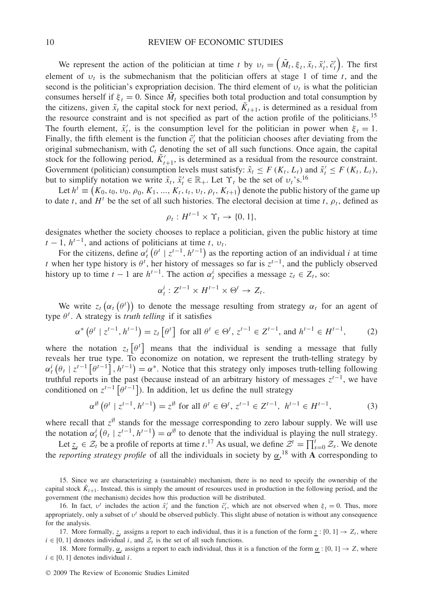We represent the action of the politician at time *t* by  $v_t = (\tilde{M}_t, \xi_t, \tilde{x}_t, \tilde{x}_t', \tilde{c}_t')$ . The first element of  $v_t$  is the submechanism that the politician offers at stage 1 of time *t*, and the second is the politician's expropriation decision. The third element of  $v_t$  is what the politician consumes herself if  $\xi_t = 0$ . Since  $\tilde{M}_t$  specifies both total production and total consumption by the citizens, given  $\tilde{x}_t$  the capital stock for next period,  $\tilde{K}_{t+1}$ , is determined as a residual from the resource constraint and is not specified as part of the action profile of the politicians.<sup>15</sup> The fourth element,  $\tilde{x}'_t$ , is the consumption level for the politician in power when  $\xi_t = 1$ . Finally, the fifth element is the function  $\tilde{c}'_t$  that the politician chooses after deviating from the original submechanism, with  $C_t$  denoting the set of all such functions. Once again, the capital stock for the following period,  $\tilde{K}'_{t+1}$ , is determined as a residual from the resource constraint. Government (politician) consumption levels must satisfy:  $\tilde{x}_t \leq F(K_t, L_t)$  and  $\tilde{x}_t' \leq F(K_t, L_t)$ , but to simplify notation we write  $\tilde{x}_t$ ,  $\tilde{x}'_t \in \mathbb{R}_+$ . Let  $\Upsilon_t$  be the set of  $v_t$ 's.<sup>16</sup>

Let  $h^t \equiv (K_0, t_0, v_0, \rho_0, K_1, ..., K_t, t_t, v_t, \rho_t, K_{t+1})$  denote the public history of the game up to date *t*, and  $H<sup>t</sup>$  be the set of all such histories. The electoral decision at time *t*,  $\rho<sub>t</sub>$ , defined as

$$
\rho_t: H^{t-1} \times \Upsilon_t \to \{0, 1\},\
$$

designates whether the society chooses to replace a politician, given the public history at time  $t - 1$ ,  $h^{t-1}$ , and actions of politicians at time *t*,  $v_t$ .

For the citizens, define  $\alpha_t^i$  ( $\theta^t \mid z^{t-1}, h^{t-1}$ ) as the reporting action of an individual *i* at time *t* when her type history is  $\theta^t$ , her history of messages so far is  $z^{t-1}$ , and the publicly observed history up to time  $t - 1$  are  $h^{t-1}$ . The action  $\alpha_t^i$  specifies a message  $z_t \in Z_t$ , so:

$$
\alpha_t^i: Z^{t-1} \times H^{t-1} \times \Theta^t \to Z_t.
$$

We write  $z_t(\alpha_t(\theta^t))$  to denote the message resulting from strategy  $\alpha_t$  for an agent of type *θ<sup>t</sup>* . A strategy is *truth telling* if it satisfies

$$
\alpha^* \left( \theta^t \mid z^{t-1}, h^{t-1} \right) = z_t \left[ \theta^t \right] \text{ for all } \theta^t \in \Theta^t, z^{t-1} \in Z^{t-1}, \text{ and } h^{t-1} \in H^{t-1}, \tag{2}
$$

where the notation  $z_t[\theta^t]$  means that the individual is sending a message that fully reveals her true type. To economize on notation, we represent the truth-telling strategy by  $\alpha_t^i(\theta_t \mid z^{t-1}[\theta^{t-1}], h^{t-1}) = \alpha^*$ . Notice that this strategy only imposes truth-telling following truthful reports in the past (because instead of an arbitrary history of messages *zt*<sup>−</sup>1, we have conditioned on  $z^{t-1}$   $\lceil \theta^{t-1} \rceil$ ). In addition, let us define the null strategy

$$
\alpha^{\emptyset}(\theta^t \mid z^{t-1}, h^{t-1}) = z^{\emptyset} \text{ for all } \theta^t \in \Theta^t, z^{t-1} \in Z^{t-1}, h^{t-1} \in H^{t-1},
$$
 (3)

where recall that  $z^{\emptyset}$  stands for the message corresponding to zero labour supply. We will use the notation  $\alpha_t^i(\theta_t | z^{t-1}, h^{t-1}) = \alpha^\emptyset$  to denote that the individual is playing the null strategy.

Let  $\underline{z}_t \in \mathcal{Z}_t$  be a profile of reports at time  $t$ .<sup>17</sup> As usual, we define  $\mathcal{Z}^t = \prod_{s=0}^t \mathcal{Z}_s$ . We denote the *reporting strategy profile* of all the individuals in society by *α*, <sup>18</sup> with **A** corresponding to

17. More formally, *z<sub>i</sub>* assigns a report to each individual, thus it is a function of the form  $z : [0, 1] \rightarrow Z_t$ , where  $i \in [0, 1]$  denotes individual *i*, and  $\mathcal{Z}_t$  is the set of all such functions.

18. More formally,  $\alpha_t$  assigns a report to each individual, thus it is a function of the form  $\alpha$  : [0, 1]  $\rightarrow Z$ , where  $i \in [0, 1]$  denotes individual  $i$ .

<sup>15.</sup> Since we are characterizing a (sustainable) mechanism, there is no need to specify the ownership of the capital stock  $K_{t+1}$ . Instead, this is simply the amount of resources used in production in the following period, and the government (the mechanism) decides how this production will be distributed.

<sup>16.</sup> In fact,  $v^t$  includes the action  $\tilde{x}_t^t$  and the function  $\tilde{c}_t^t$ , which are not observed when  $\xi_t = 0$ . Thus, more appropriately, only a subset of *υ<sup>t</sup>* should be observed publicly. This slight abuse of notation is without any consequence for the analysis.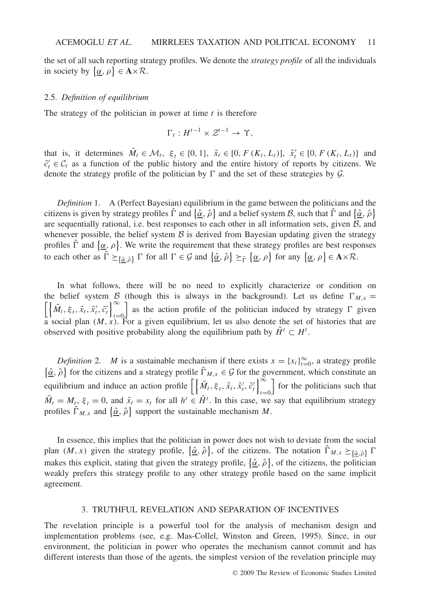the set of all such reporting strategy profiles. We denote the *strategy profile* of all the individuals in society by  $\{\underline{\alpha}, \rho\} \in \mathbf{A} \times \mathcal{R}$ .

#### 2.5. *Definition of equilibrium*

The strategy of the politician in power at time *t* is therefore

$$
\Gamma_t: H^{t-1} \times \mathcal{Z}^{t-1} \to \Upsilon,
$$

that is, it determines  $\tilde{M}_t \in \mathcal{M}_t$ ,  $\xi_t \in \{0, 1\}$ ,  $\tilde{x}_t \in [0, F(K_t, L_t)]$ ,  $\tilde{x}_t' \in [0, F(K_t, L_t)]$  and  $\tilde{c}'_t \in C_t$  as a function of the public history and the entire history of reports by citizens. We denote the strategy profile of the politician by  $\Gamma$  and the set of these strategies by  $\mathcal{G}$ .

*Definition* 1. A (Perfect Bayesian) equilibrium in the game between the politicians and the citizens is given by strategy profiles  $\hat{\Gamma}$  and  $\{\hat{\alpha}, \hat{\rho}\}$  and a belief system *B*, such that  $\hat{\Gamma}$  and  $\{\hat{\alpha}, \hat{\rho}\}$ are sequentially rational, i.e. best responses to each other in all information sets, given  $\beta$ , and whenever possible, the belief system  $\beta$  is derived from Bayesian updating given the strategy profiles  $\hat{\Gamma}$  and  $\{\underline{\alpha}, \rho\}$ . We write the requirement that these strategy profiles are best responses to each other as  $\hat{\Gamma} \succeq_{\{\hat{\underline{\alpha}}, \hat{\rho}\}} \Gamma$  for all  $\Gamma \in \mathcal{G}$  and  $\{\hat{\underline{\alpha}}, \hat{\rho}\} \succeq_{\hat{\Gamma}} \{\underline{\alpha}, \rho\}$  for any  $\{\underline{\alpha}, \rho\} \in \mathbf{A} \times \mathcal{R}$ .

In what follows, there will be no need to explicitly characterize or condition on the belief system B (though this is always in the background). Let us define  $\Gamma_{M,x} = \left[ \left\{ \tilde{M}_t, \xi_t, \tilde{x}_t, \tilde{x}'_t, \tilde{c}'_t \right\}_{t=0}^{\infty} \right]$  as the action profile of the politician induced by strategy  $\Gamma$  given *t*=0 as the action profile of the politician induced by strategy  $\Gamma$  given a social plan *(M,x)*. For a given equilibrium, let us also denote the set of histories that are observed with positive probability along the equilibrium path by  $\tilde{H}^t \subset H^t$ .

*Definition* 2. *M* is a sustainable mechanism if there exists  $x = \{x_t\}_{t=0}^{\infty}$ , a strategy profile  $\{\hat{\underline{\alpha}}, \hat{\rho}\}$  for the citizens and a strategy profile  $\hat{\Gamma}_{M,x} \in \mathcal{G}$  for the government, which constitute an equilibrium and induce an action profile  $\left[\left\{\tilde{M}_t, \xi_t, \tilde{x}_t, \tilde{x}'_t, \tilde{c}'_t\right\}\right]_{t=0}^{\infty}$ *t*=0 for the politicians such that  $\tilde{M}_t = M_t$ ,  $\xi_t = 0$ , and  $\tilde{x}_t = x_t$  for all  $h^t \in \tilde{H}^t$ . In this case, we say that equilibrium strategy profiles  $\hat{\Gamma}_{M,x}$  and  $\{\hat{\underline{\alpha}}, \hat{\rho}\}$  support the sustainable mechanism M.

In essence, this implies that the politician in power does not wish to deviate from the social plan  $(M, x)$  given the strategy profile,  $\{\hat{\underline{\alpha}}, \hat{\rho}\}\$ , of the citizens. The notation  $\hat{\Gamma}_{M,x} \succeq_{\{\hat{\underline{\alpha}}, \hat{\rho}\}} \Gamma$ makes this explicit, stating that given the strategy profile,  $\{\hat{\alpha}, \hat{\rho}\}\$ , of the citizens, the politician weakly prefers this strategy profile to any other strategy profile based on the same implicit agreement.

## 3. TRUTHFUL REVELATION AND SEPARATION OF INCENTIVES

The revelation principle is a powerful tool for the analysis of mechanism design and implementation problems (see, e.g. Mas-Collel, Winston and Green, 1995). Since, in our environment, the politician in power who operates the mechanism cannot commit and has different interests than those of the agents, the simplest version of the revelation principle may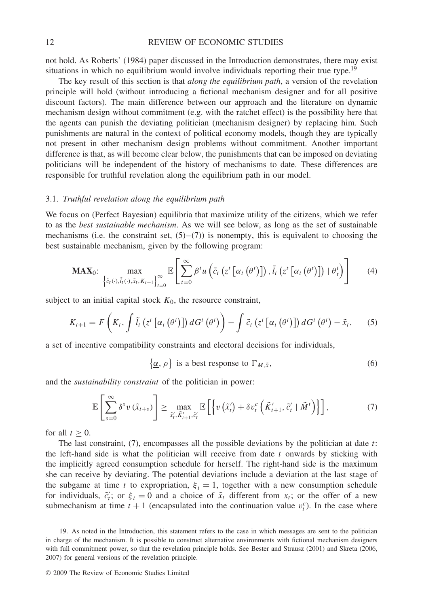not hold. As Roberts' (1984) paper discussed in the Introduction demonstrates, there may exist situations in which no equilibrium would involve individuals reporting their true type.<sup>19</sup>

The key result of this section is that *along the equilibrium path*, a version of the revelation principle will hold (without introducing a fictional mechanism designer and for all positive discount factors). The main difference between our approach and the literature on dynamic mechanism design without commitment (e.g. with the ratchet effect) is the possibility here that the agents can punish the deviating politician (mechanism designer) by replacing him. Such punishments are natural in the context of political economy models, though they are typically not present in other mechanism design problems without commitment. Another important difference is that, as will become clear below, the punishments that can be imposed on deviating politicians will be independent of the history of mechanisms to date. These differences are responsible for truthful revelation along the equilibrium path in our model.

## 3.1. *Truthful revelation along the equilibrium path*

We focus on (Perfect Bayesian) equilibria that maximize utility of the citizens, which we refer to as the *best sustainable mechanism*. As we will see below, as long as the set of sustainable mechanisms (i.e. the constraint set,  $(5)-(7)$ ) is nonempty, this is equivalent to choosing the best sustainable mechanism, given by the following program:

$$
\mathbf{MAX}_{0}: \ \ \max_{\left\{\tilde{c}_{t}(\cdot),\tilde{l}_{t}(\cdot),\tilde{x}_{t},K_{t+1}\right\}_{t=0}^{\infty}}\mathbb{E}\left[\sum_{t=0}^{\infty}\beta^{t}u\left(\tilde{c}_{t}\left(z^{t}\left[\alpha_{t}\left(\theta^{t}\right)\right]\right),\tilde{l}_{t}\left(z^{t}\left[\alpha_{t}\left(\theta^{t}\right)\right]\right)+\theta_{t}^{i}\right)\right]
$$
(4)

subject to an initial capital stock  $K_0$ , the resource constraint,

$$
K_{t+1} = F\left(K_t, \int \tilde{I}_t\left(z^t\left[\alpha_t\left(\theta^t\right)\right]\right) dG^t\left(\theta^t\right)\right) - \int \tilde{c}_t\left(z^t\left[\alpha_t\left(\theta^t\right)\right]\right) dG^t\left(\theta^t\right) - \tilde{x}_t,\tag{5}
$$

a set of incentive compatibility constraints and electoral decisions for individuals,

$$
\{\underline{\alpha}, \rho\} \text{ is a best response to } \Gamma_{M, \tilde{x}}, \tag{6}
$$

and the *sustainability constraint* of the politician in power:

$$
\mathbb{E}\left[\sum_{s=0}^{\infty} \delta^s v\left(\tilde{x}_{t+s}\right)\right] \geq \max_{\tilde{x}'_t, \tilde{K}'_{t+1}, \tilde{c}'_t} \mathbb{E}\left[\left\{v\left(\tilde{x}'_t\right) + \delta v_t^c \left(\tilde{K}'_{t+1}, \tilde{c}'_t \mid \tilde{M}^t\right)\right\}\right],\tag{7}
$$

for all  $t > 0$ .

The last constraint, (7), encompasses all the possible deviations by the politician at date *t*: the left-hand side is what the politician will receive from date *t* onwards by sticking with the implicitly agreed consumption schedule for herself. The right-hand side is the maximum she can receive by deviating. The potential deviations include a deviation at the last stage of the subgame at time *t* to expropriation,  $\xi_t = 1$ , together with a new consumption schedule for individuals,  $\tilde{c}'_t$ ; or  $\xi_t = 0$  and a choice of  $\tilde{x}_t$  different from  $x_t$ ; or the offer of a new submechanism at time  $t + 1$  (encapsulated into the continuation value  $v_t^c$ ). In the case where

<sup>19.</sup> As noted in the Introduction, this statement refers to the case in which messages are sent to the politician in charge of the mechanism. It is possible to construct alternative environments with fictional mechanism designers with full commitment power, so that the revelation principle holds. See Bester and Strausz (2001) and Skreta (2006, 2007) for general versions of the revelation principle.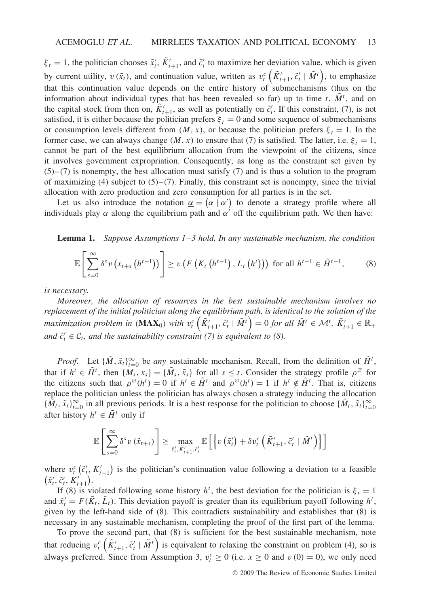$\xi_t = 1$ , the politician chooses  $\tilde{x}'_t$ ,  $\tilde{K}'_{t+1}$ , and  $\tilde{c}'_t$  to maximize her deviation value, which is given by current utility,  $v(\tilde{x}_t)$ , and continuation value, written as  $v_t^c\left(\tilde{K}'_{t+1}, \tilde{c}'_t | \tilde{M}^t\right)$ , to emphasize that this continuation value depends on the entire history of submechanisms (thus on the information about individual types that has been revealed so far) up to time  $t$ ,  $\tilde{M}$ <sup>t</sup>, and on the capital stock from then on,  $\tilde{K}'_{t+1}$ , as well as potentially on  $\tilde{c}'_t$ . If this constraint, (7), is not satisfied, it is either because the politician prefers  $\xi_t = 0$  and some sequence of submechanisms or consumption levels different from  $(M, x)$ , or because the politician prefers  $\xi_t = 1$ . In the former case, we can always change  $(M, x)$  to ensure that (7) is satisfied. The latter, i.e.  $\xi_t = 1$ , cannot be part of the best equilibrium allocation from the viewpoint of the citizens, since it involves government expropriation. Consequently, as long as the constraint set given by  $(5)-(7)$  is nonempty, the best allocation must satisfy (7) and is thus a solution to the program of maximizing (4) subject to  $(5)$ – $(7)$ . Finally, this constraint set is nonempty, since the trivial allocation with zero production and zero consumption for all parties is in the set.

Let us also introduce the notation  $\underline{\alpha} = (\alpha \mid \alpha')$  to denote a strategy profile where all individuals play  $\alpha$  along the equilibrium path and  $\alpha'$  off the equilibrium path. We then have:

**Lemma 1.** *Suppose Assumptions 1–3 hold. In any sustainable mechanism, the condition*

$$
\mathbb{E}\left[\sum_{s=0}^{\infty} \delta^s v\left(x_{t+s}\left(h^{t-1}\right)\right)\right] \geq v\left(F\left(K_t\left(h^{t-1}\right), L_t\left(h^t\right)\right)\right) \text{ for all } h^{t-1} \in \tilde{H}^{t-1},\qquad(8)
$$

*is necessary.*

*Moreover, the allocation of resources in the best sustainable mechanism involves no replacement of the initial politician along the equilibrium path, is identical to the solution of the* maximization problem in  $(\mathbf{MAX}_0)$  with  $v_t^c(\tilde{K}_{t+1}, \tilde{c}'_t | \tilde{M}^t) = 0$  for all  $\tilde{M}^t \in \mathcal{M}^t$ ,  $\tilde{K}_{t+1} \in \mathbb{R}_+$ *and*  $\tilde{c}'_t \in C_t$ , and the sustainability constraint (7) is equivalent to (8).

*Proof.* Let  $\{\tilde{M}, \tilde{x}_t\}_{t=0}^{\infty}$  be *any* sustainable mechanism. Recall, from the definition of  $\tilde{H}^t$ , that if  $h^t \in \tilde{H}^t$ , then  $\{M_s, x_s\} = \{\tilde{M}_s, \tilde{x}_s\}$  for all  $s \leq t$ . Consider the strategy profile  $\rho^{\emptyset}$  for the citizens such that  $\rho^{\emptyset}(h^t) = 0$  if  $h^t \in \tilde{H}^t$  and  $\rho^{\emptyset}(h^t) = 1$  if  $h^t \notin \tilde{H}^t$ . That is, citizens replace the politician unless the politician has always chosen a strategy inducing the allocation  ${\{\tilde{M}_t, \tilde{x}_t\}}_{t=0}^{\infty}$  in all previous periods. It is a best response for the politician to choose  ${\{\tilde{M}_t, \tilde{x}_t\}}_{t=0}^{\infty}$ after history  $h^t \in \tilde{H}^t$  only if

$$
\mathbb{E}\left[\sum_{s=0}^{\infty} \delta^s v\left(\tilde{x}_{t+s}\right)\right] \geq \max_{\tilde{x}'_t, \tilde{K}'_{t+1}, \tilde{c}'_t} \mathbb{E}\left[\left\{v\left(\tilde{x}'_t\right) + \delta v_t^c \left(\tilde{K}'_{t+1}, \tilde{c}'_t \mid \tilde{M}^t\right)\right\}\right]
$$

where  $v_t^c$  ( $\tilde{c}'_t$ ,  $K'_{t+1}$ ) is the politician's continuation value following a deviation to a feasible  $(\tilde{x}'_t, \tilde{c}'_t, K'_{t+1}).$ 

If (8) is violated following some history  $h^t$ , the best deviation for the politician is  $\xi_t = 1$ and  $\tilde{x}'_t = F(\tilde{K}_t, \tilde{L}_t)$ . This deviation payoff is greater than its equilibrium payoff following  $h^t$ , given by the left-hand side of (8). This contradicts sustainability and establishes that (8) is necessary in any sustainable mechanism, completing the proof of the first part of the lemma.

To prove the second part, that (8) is sufficient for the best sustainable mechanism, note that reducing  $v_t^c\left(\tilde{K}'_{t+1}, \tilde{c}'_t | \tilde{M}^t\right)$  is equivalent to relaxing the constraint on problem (4), so is always preferred. Since from Assumption 3,  $v_t^c \ge 0$  (i.e.  $x \ge 0$  and  $v(0) = 0$ ), we only need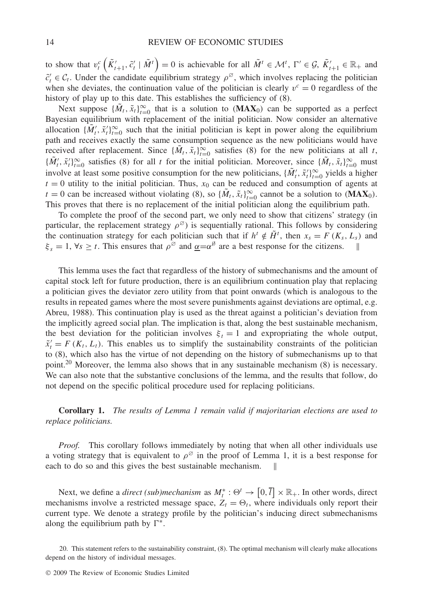to show that  $v_t^c\left(\tilde{K}'_{t+1}, \tilde{c}'_t \mid \tilde{M}^t\right) = 0$  is achievable for all  $\tilde{M}^t \in \mathcal{M}^t$ ,  $\Gamma' \in \mathcal{G}, \ \tilde{K}'_{t+1} \in \mathbb{R}_+$  and  $\tilde{c}'_t \in C_t$ . Under the candidate equilibrium strategy  $\rho^\emptyset$ , which involves replacing the politician when she deviates, the continuation value of the politician is clearly  $v^c = 0$  regardless of the history of play up to this date. This establishes the sufficiency of (8).

Next suppose  $\{\tilde{M}_t, \tilde{x}_t\}_{t=0}^{\infty}$  that is a solution to  $(MAX_0)$  can be supported as a perfect Bayesian equilibrium with replacement of the initial politician. Now consider an alternative allocation  $\{\tilde{M}'_t, \tilde{x}'_t\}_{t=0}^{\infty}$  such that the initial politician is kept in power along the equilibrium path and receives exactly the same consumption sequence as the new politicians would have received after replacement. Since  $\{\tilde{M}_t, \tilde{x}_t\}_{t=0}^\infty$  satisfies (8) for the new politicians at all *t*,  $\{\tilde{M}'_t, \tilde{x}'_t\}_{t=0}^\infty$  satisfies (8) for all *t* for the initial politician. Moreover, since  $\{\tilde{M}_t, \tilde{x}_t\}_{t=0}^\infty$  must involve at least some positive consumption for the new politicians,  $\{\tilde{M}'_t, \tilde{x}'_t\}_{t=0}^{\infty}$  yields a higher  $t = 0$  utility to the initial politician. Thus,  $x_0$  can be reduced and consumption of agents at  $t = 0$  can be increased without violating (8), so  $\{\tilde{M}_t, \tilde{x}_t\}_{t=0}^{\infty}$  cannot be a solution to  $(MAX_0)$ . This proves that there is no replacement of the initial politician along the equilibrium path.

To complete the proof of the second part, we only need to show that citizens' strategy (in particular, the replacement strategy  $\rho^{\emptyset}$  is sequentially rational. This follows by considering the continuation strategy for each politician such that if  $h^t \notin \tilde{H}^t$ , then  $x_s = F(K_s, L_s)$  and  $\xi_s = 1$ ,  $\forall s \ge t$ . This ensures that  $\rho^{\varnothing}$  and  $\underline{\alpha} = \alpha^{\varnothing}$  are a best response for the citizens.

This lemma uses the fact that regardless of the history of submechanisms and the amount of capital stock left for future production, there is an equilibrium continuation play that replacing a politician gives the deviator zero utility from that point onwards (which is analogous to the results in repeated games where the most severe punishments against deviations are optimal, e.g. Abreu, 1988). This continuation play is used as the threat against a politician's deviation from the implicitly agreed social plan. The implication is that, along the best sustainable mechanism, the best deviation for the politician involves  $\xi_t = 1$  and expropriating the whole output,  $\tilde{x}'_t = F(K_t, L_t)$ . This enables us to simplify the sustainability constraints of the politician to (8), which also has the virtue of not depending on the history of submechanisms up to that point.<sup>20</sup> Moreover, the lemma also shows that in any sustainable mechanism  $(8)$  is necessary. We can also note that the substantive conclusions of the lemma, and the results that follow, do not depend on the specific political procedure used for replacing politicians.

**Corollary 1.** *The results of Lemma 1 remain valid if majoritarian elections are used to replace politicians.*

*Proof.* This corollary follows immediately by noting that when all other individuals use a voting strategy that is equivalent to  $\rho^{\emptyset}$  in the proof of Lemma 1, it is a best response for each to do so and this gives the best sustainable mechanism.

Next, we define a *direct (sub)mechanism* as  $M_t^* : \Theta^t \to [0, \overline{l}] \times \mathbb{R}_+$ . In other words, direct mechanisms involve a restricted message space,  $Z_t = \Theta_t$ , where individuals only report their current type. We denote a strategy profile by the politician's inducing direct submechanisms along the equilibrium path by  $\Gamma^*$ .

<sup>20.</sup> This statement refers to the sustainability constraint, (8). The optimal mechanism will clearly make allocations depend on the history of individual messages.

<sup>©</sup> 2009 The Review of Economic Studies Limited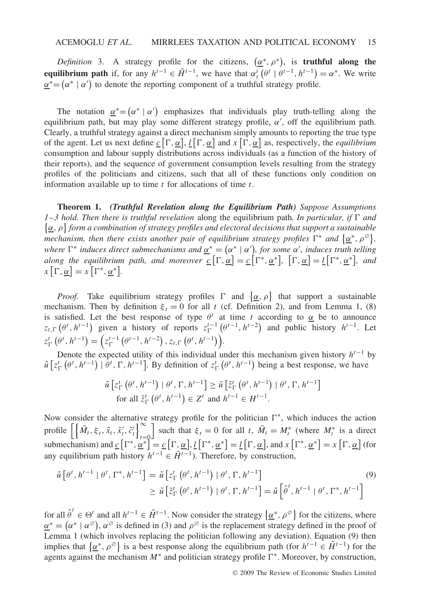*Definition* 3. A strategy profile for the citizens,  $(\alpha^*, \rho^*)$ , is **truthful along the equilibrium path** if, for any  $h^{t-1} \in \tilde{H}^{t-1}$ , we have that  $\alpha_t^i(\theta^t | \theta^{t-1}, h^{t-1}) = \alpha^*$ . We write  $a^* = (a^* | a')$  to denote the reporting component of a truthful strategy profile.

The notation  $\underline{\alpha}^* = (\alpha^* | \alpha')$  emphasizes that individuals play truth-telling along the equilibrium path, but may play some different strategy profile, *α* , off the equilibrium path. Clearly, a truthful strategy against a direct mechanism simply amounts to reporting the true type of the agent. Let us next define  $\underline{c}[\Gamma, \underline{\alpha}], \underline{l}[\Gamma, \underline{\alpha}]$  and  $x[\Gamma, \underline{\alpha}]$  as, respectively, the *equilibrium* consumption and labour supply distributions across individuals (as a function of the history of their reports), and the sequence of government consumption levels resulting from the strategy profiles of the politicians and citizens, such that all of these functions only condition on information available up to time *t* for allocations of time *t*.

**Theorem 1.** *(Truthful Revelation along the Equilibrium Path) Suppose Assumptions* 1–3 hold. Then there is truthful revelation along the equilibrium path. In particular, if  $\Gamma$  and *α, ρ form a combination of strategy profiles and electoral decisions that support a sustainable*  $\alpha$  *mechanism, then there exists another pair of equilibrium strategy profiles*  $\Gamma^*$  *and*  $\{\underline{\alpha}^*, \rho^{\varnothing}\},$ *where*  $\Gamma^*$  *induces direct submechanisms and*  $\underline{\alpha}^* = (\alpha^* | \alpha')$ *, for some*  $\alpha'$ *, induces truth telling along the equilibrium path, and moreover*  $\underline{c}[\Gamma, \underline{\alpha}] = \underline{c}[\Gamma^*, \underline{\alpha}^*], [\Gamma, \underline{\alpha}] = \underline{l}[\Gamma^*, \underline{\alpha}^*],$  and  $x\left[\Gamma,\underline{\alpha}\right] = x\left[\Gamma^*,\underline{\alpha}^*\right].$ 

*Proof.* Take equilibrium strategy profiles  $\Gamma$  and  $\{\alpha, \rho\}$  that support a sustainable mechanism. Then by definition  $\xi_t = 0$  for all *t* (cf. Definition 2), and from Lemma 1, (8) is satisfied. Let the best response of type  $\theta^t$  at time *t* according to  $\alpha$  be to announce  $z_{t,\Gamma}\left(\theta^t, h^{t-1}\right)$  given a history of reports  $z_{\Gamma}^{t-1}\left(\theta^{t-1}, h^{t-2}\right)$  and public history  $h^{t-1}$ . Let  $z_{\Gamma}^{t}(\theta^{t}, h^{t-1}) = (z_{\Gamma}^{t-1}(\theta^{t-1}, h^{t-2}), z_{t,\Gamma}(\theta^{t}, h^{t-1})).$ 

Denote the expected utility of this individual under this mechanism given history *ht*<sup>−</sup><sup>1</sup> by  $\tilde{u}$   $[z_{\Gamma}^{t}(\theta^{t}, h^{t-1}) | \theta^{t}, \Gamma, h^{t-1}]$ . By definition of  $z_{\Gamma}^{t}(\theta^{t}, h^{t-1})$  being a best response, we have

$$
\tilde{u}\left[z_{\Gamma}^{t}\left(\theta^{t}, h^{t-1}\right) \mid \theta^{t}, \Gamma, h^{t-1}\right] \geq \tilde{u}\left[\tilde{z}_{\Gamma}^{t}\left(\theta^{t}, h^{t-1}\right) \mid \theta^{t}, \Gamma, h^{t-1}\right]
$$
\n
$$
\text{for all } \tilde{z}_{\Gamma}^{t}\left(\theta^{t}, h^{t-1}\right) \in Z^{t} \text{ and } h^{t-1} \in H^{t-1}.
$$

Now consider the alternative strategy profile for the politician <sup>∗</sup>, which induces the action profile  $\left[\left\{\tilde{M}_t, \xi_t, \tilde{x}_t, \tilde{x}'_t, \tilde{c}'_t\right\}\right]_{t=0}^{\infty}$ *t*=0 such that  $\xi_t = 0$  for all *t*,  $\tilde{M}_t = M_t^*$  (where  $M_t^*$  is a direct submechanism) and  $\mathcal{L}\left[\Gamma^*, \alpha^*\right] = \mathcal{L}\left[\Gamma, \alpha\right], \mathcal{L}\left[\Gamma^*, \alpha^*\right] = \mathcal{L}\left[\Gamma, \alpha\right],$  and  $x\left[\Gamma^*, \alpha^*\right] = x\left[\Gamma, \alpha\right]$  (for any equilibrium path history  $h^{t-1} \in \tilde{H}^{t-1}$ ). Therefore, by construction,

$$
\tilde{u}\left[\theta^t, h^{t-1} \mid \theta^t, \Gamma^*, h^{t-1}\right] = \tilde{u}\left[z_{\Gamma}^t\left(\theta^t, h^{t-1}\right) \mid \theta^t, \Gamma, h^{t-1}\right] \\
\geq \tilde{u}\left[\tilde{z}_{\Gamma}^t\left(\theta^t, h^{t-1}\right) \mid \theta^t, \Gamma, h^{t-1}\right] = \tilde{u}\left[\hat{\theta}^t, h^{t-1} \mid \theta^t, \Gamma^*, h^{t-1}\right]
$$
\n(9)

for all  $\hat{\theta}^t \in \Theta^t$  and all  $h^{t-1} \in \tilde{H}^{t-1}$ . Now consider the strategy  $\{\underline{\alpha}^*, \rho^{\emptyset}\}\$  for the citizens, where  $a^* = (a^* | a^{\emptyset})$ ,  $a^{\emptyset}$  is defined in (3) and  $\rho^{\emptyset}$  is the replacement strategy defined in the proof of Lemma 1 (which involves replacing the politician following any deviation). Equation (9) then implies that  $\{\alpha^*, \rho^{\emptyset}\}\$ is a best response along the equilibrium path (for  $h^{t-1} \in \tilde{H}^{t-1}$ ) for the agents against the mechanism *M*<sup>∗</sup> and politician strategy profile <sup>∗</sup>. Moreover, by construction,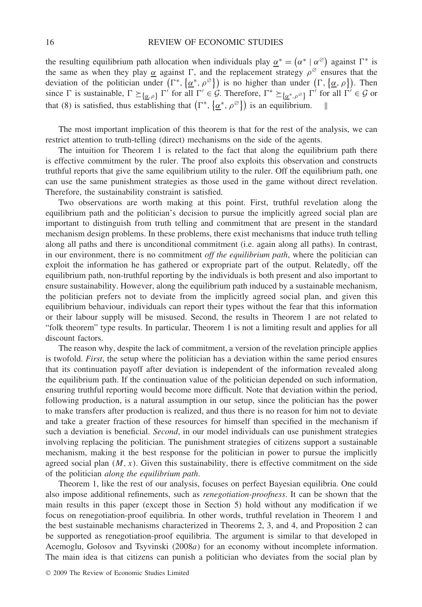the resulting equilibrium path allocation when individuals play  $\underline{\alpha}^* = (\alpha^* \mid \alpha^{\emptyset})$  against  $\Gamma^*$  is the same as when they play  $\alpha$  against  $\Gamma$ , and the replacement strategy  $\rho^{\emptyset}$  ensures that the deviation of the politician under  $(\Gamma^*, {\alpha^*, \rho^{\varnothing}})$  is no higher than under  $(\Gamma, {\alpha, \rho})$ . Then since  $\Gamma$  is sustainable,  $\Gamma \succeq_{\{\underline{\alpha}, \rho\}} \Gamma'$  for all  $\Gamma' \in \mathcal{G}$ . Therefore,  $\Gamma^* \succeq_{\{\underline{\alpha^*}, \rho^{\emptyset}\}} \Gamma'$  for all  $\Gamma' \in \mathcal{G}$  or that (8) is satisfied, thus establishing that  $(\Gamma^*, {\alpha^*, \rho^{\varnothing}})$  is an equilibrium.

The most important implication of this theorem is that for the rest of the analysis, we can restrict attention to truth-telling (direct) mechanisms on the side of the agents.

The intuition for Theorem 1 is related to the fact that along the equilibrium path there is effective commitment by the ruler. The proof also exploits this observation and constructs truthful reports that give the same equilibrium utility to the ruler. Off the equilibrium path, one can use the same punishment strategies as those used in the game without direct revelation. Therefore, the sustainability constraint is satisfied.

Two observations are worth making at this point. First, truthful revelation along the equilibrium path and the politician's decision to pursue the implicitly agreed social plan are important to distinguish from truth telling and commitment that are present in the standard mechanism design problems. In these problems, there exist mechanisms that induce truth telling along all paths and there is unconditional commitment (i.e. again along all paths). In contrast, in our environment, there is no commitment *off the equilibrium path*, where the politician can exploit the information he has gathered or expropriate part of the output. Relatedly, off the equilibrium path, non-truthful reporting by the individuals is both present and also important to ensure sustainability. However, along the equilibrium path induced by a sustainable mechanism, the politician prefers not to deviate from the implicitly agreed social plan, and given this equilibrium behaviour, individuals can report their types without the fear that this information or their labour supply will be misused. Second, the results in Theorem 1 are not related to "folk theorem" type results. In particular, Theorem 1 is not a limiting result and applies for all discount factors.

The reason why, despite the lack of commitment, a version of the revelation principle applies is twofold. *First*, the setup where the politician has a deviation within the same period ensures that its continuation payoff after deviation is independent of the information revealed along the equilibrium path. If the continuation value of the politician depended on such information, ensuring truthful reporting would become more difficult. Note that deviation within the period, following production, is a natural assumption in our setup, since the politician has the power to make transfers after production is realized, and thus there is no reason for him not to deviate and take a greater fraction of these resources for himself than specified in the mechanism if such a deviation is beneficial. *Second*, in our model individuals can use punishment strategies involving replacing the politician. The punishment strategies of citizens support a sustainable mechanism, making it the best response for the politician in power to pursue the implicitly agreed social plan  $(M, x)$ . Given this sustainability, there is effective commitment on the side of the politician *along the equilibrium path*.

Theorem 1, like the rest of our analysis, focuses on perfect Bayesian equilibria. One could also impose additional refinements, such as *renegotiation-proofness*. It can be shown that the main results in this paper (except those in Section 5) hold without any modification if we focus on renegotiation-proof equilibria. In other words, truthful revelation in Theorem 1 and the best sustainable mechanisms characterized in Theorems 2, 3, and 4, and Proposition 2 can be supported as renegotiation-proof equilibria. The argument is similar to that developed in Acemoglu, Golosov and Tsyvinski *(*2008*a)* for an economy without incomplete information. The main idea is that citizens can punish a politician who deviates from the social plan by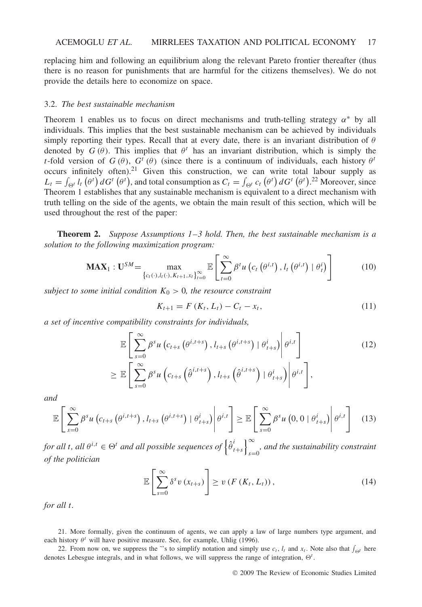replacing him and following an equilibrium along the relevant Pareto frontier thereafter (thus there is no reason for punishments that are harmful for the citizens themselves). We do not provide the details here to economize on space.

#### 3.2. *The best sustainable mechanism*

Theorem 1 enables us to focus on direct mechanisms and truth-telling strategy *α*<sup>∗</sup> by all individuals. This implies that the best sustainable mechanism can be achieved by individuals simply reporting their types. Recall that at every date, there is an invariant distribution of *θ* denoted by  $G(\theta)$ . This implies that  $\theta^t$  has an invariant distribution, which is simply the *t*-fold version of  $G(\theta)$ ,  $G^t(\theta)$  (since there is a continuum of individuals, each history  $\theta^t$ occurs infinitely often).21 Given this construction, we can write total labour supply as  $L_t = \int_{\Theta^t} l_t(\theta^t) dG^t(\theta^t)$ , and total consumption as  $C_t = \int_{\Theta^t} c_t(\theta^t) dG^t(\theta^t)$ .<sup>22</sup> Moreover, since Theorem 1 establishes that any sustainable mechanism is equivalent to a direct mechanism with truth telling on the side of the agents, we obtain the main result of this section, which will be used throughout the rest of the paper:

**Theorem 2.** *Suppose Assumptions 1–3 hold. Then, the best sustainable mechanism is a solution to the following maximization program:*

$$
\mathbf{MAX}_{1} : \mathbf{U}^{SM} = \max_{\{c_{t}(\cdot), l_{t}(\cdot), K_{t+1}, x_{t}\}_{t=0}^{\infty}} \mathbb{E}\left[\sum_{t=0}^{\infty} \beta^{t} u\left(c_{t}\left(\theta^{i,t}\right), l_{t}\left(\theta^{i,t}\right) \mid \theta_{t}^{i}\right)\right]
$$
(10)

*subject to some initial condition*  $K_0 > 0$ *, the resource constraint* 

$$
K_{t+1} = F(K_t, L_t) - C_t - x_t, \tag{11}
$$

*a set of incentive compatibility constraints for individuals,*

$$
\mathbb{E}\left[\sum_{s=0}^{\infty}\beta^{s}u\left(c_{t+s}\left(\theta^{i,t+s}\right),l_{t+s}\left(\theta^{i,t+s}\right)\mid\theta_{t+s}^{i}\right)\middle|\theta^{i,t}\right]
$$
\n
$$
\geq \mathbb{E}\left[\sum_{s=0}^{\infty}\beta^{s}u\left(c_{t+s}\left(\hat{\theta}^{i,t+s}\right),l_{t+s}\left(\hat{\theta}^{i,t+s}\right)\mid\theta_{t+s}^{i}\right)\middle|\theta^{i,t}\right],\tag{12}
$$

*and*

$$
\mathbb{E}\left[\sum_{s=0}^{\infty}\beta^{s}u\left(c_{t+s}\left(\theta^{i,t+s}\right),l_{t+s}\left(\theta^{i,t+s}\right)\mid\theta_{t+s}^{i}\right)\middle|\theta^{i,t}\right]\geq\mathbb{E}\left[\sum_{s=0}^{\infty}\beta^{s}u\left(0,0\mid\theta_{t+s}^{i}\right)\middle|\theta^{i,t}\right]
$$
(13)

*for all t, all*  $\theta^{i,t} \in \Theta^t$  *and all possible sequences of*  $\left\{\hat{\theta}_t^i\right\}$  $\left\{\begin{matrix} i \\ t+s \end{matrix}\right\}_{s=0}^{\infty}$ *s*=0 *, and the sustainability constraint of the politician*

$$
\mathbb{E}\left[\sum_{s=0}^{\infty} \delta^s v\left(x_{t+s}\right)\right] \geq v\left(F\left(K_t, L_t\right)\right),\tag{14}
$$

*for all t.*

21. More formally, given the continuum of agents, we can apply a law of large numbers type argument, and each history  $\theta^t$  will have positive measure. See, for example, Uhlig (1996).

22. From now on, we suppress the "'s to simplify notation and simply use  $c_t$ ,  $l_t$  and  $x_t$ . Note also that  $\int_{\Theta^t}$  here denotes Lebesgue integrals, and in what follows, we will suppress the range of integration,  $\Theta^t$ .

© 2009 The Review of Economic Studies Limited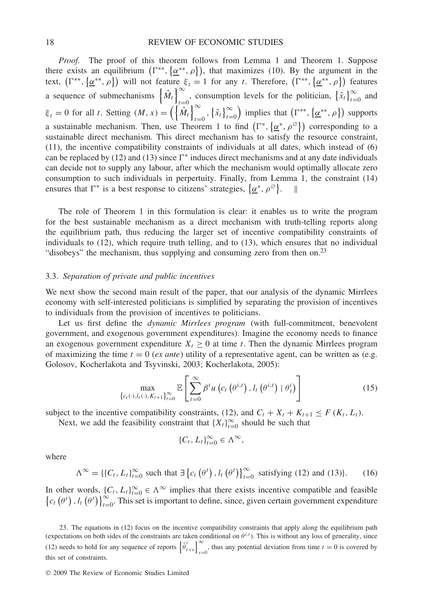*Proof.* The proof of this theorem follows from Lemma 1 and Theorem 1. Suppose there exists an equilibrium  $(\Gamma^{**}, {\alpha^{**}, \rho})$ , that maximizes (10). By the argument in the text,  $(\Gamma^{**}, {\alpha^{**}, \rho})$  will not feature  $\xi_t = 1$  for any *t*. Therefore,  $(\Gamma^{**}, {\alpha^{**}, \rho})$  features a sequence of submechanisms  $\left\{\hat{M}_t\right\}^{\infty}$  $\sum_{t=0}^{\infty}$ , consumption levels for the politician,  $\{\hat{x}_t\}_{t=0}^{\infty}$  and  $\xi_t = 0$  for all *t*. Setting  $(M, x) = \left(\begin{matrix} \sqrt{m_t} \\ m_t \end{matrix}\right)_{t=0}^{\infty}$  $\sum_{t=0}^{\infty}$ ,  $\{\hat{x}_t\}_{t=0}^{\infty}$ ) implies that  $(\Gamma^{**}, {\alpha^{**}, \rho})$  supports a sustainable mechanism. Then, use Theorem 1 to find  $(\Gamma^*, {\alpha^*, \rho^\varnothing})$  corresponding to a sustainable direct mechanism. This direct mechanism has to satisfy the resource constraint, (11), the incentive compatibility constraints of individuals at all dates, which instead of (6) can be replaced by (12) and (13) since  $\Gamma^*$  induces direct mechanisms and at any date individuals can decide not to supply any labour, after which the mechanism would optimally allocate zero consumption to such individuals in perpertuity. Finally, from Lemma 1, the constraint (14) ensures that  $\Gamma^*$  is a best response to citizens' strategies,  $\{\underline{\alpha}^*, \rho^{\emptyset}\}.$ 

The role of Theorem 1 in this formulation is clear: it enables us to write the program for the best sustainable mechanism as a direct mechanism with truth-telling reports along the equilibrium path, thus reducing the larger set of incentive compatibility constraints of individuals to (12), which require truth telling, and to (13), which ensures that no individual "disobeys" the mechanism, thus supplying and consuming zero from then on.<sup>23</sup>

## 3.3. *Separation of private and public incentives*

We next show the second main result of the paper, that our analysis of the dynamic Mirrlees economy with self-interested politicians is simplified by separating the provision of incentives to individuals from the provision of incentives to politicians.

Let us first define the *dynamic Mirrlees program* (with full-commitment, benevolent government, and exogenous government expenditures). Imagine the economy needs to finance an exogenous government expenditure  $X_t \geq 0$  at time *t*. Then the dynamic Mirrlees program of maximizing the time  $t = 0$  (*ex ante*) utility of a representative agent, can be written as (e.g. Golosov, Kocherlakota and Tsyvinski, 2003; Kocherlakota, 2005):

$$
\max_{\{c_t(\cdot), l_t(\cdot), K_{t+1}\}_{t=0}^{\infty}} \mathbb{E}\left[\sum_{t=0}^{\infty} \beta^t u\left(c_t\left(\theta^{i,t}\right), l_t\left(\theta^{i,t}\right) \mid \theta_t^i\right)\right]
$$
(15)

subject to the incentive compatibility constraints, (12), and  $C_t + X_t + K_{t+1} \leq F(K_t, L_t)$ .

Next, we add the feasibility constraint that  ${X_t}_{t=0}^{\infty}$  should be such that

$$
\{C_t, L_t\}_{t=0}^{\infty} \in \Lambda^{\infty},
$$

where

$$
\Lambda^{\infty} = \{ \{C_t, L_t \}_{t=0}^{\infty} \text{ such that } \exists \left\{ c_t \left( \theta^t \right), l_t \left( \theta^t \right) \right\}_{t=0}^{\infty} \text{ satisfying (12) and (13)}.
$$
 (16)

In other words,  $\{C_t, L_t\}_{t=0}^{\infty} \in \Lambda^{\infty}$  implies that there exists incentive compatible and feasible  $\{c_t(\theta^t), l_t(\theta^t)\}_{t=0}^{\infty}$ . This set is important to define, since, given certain government expenditure

23. The equations in (12) focus on the incentive compatibility constraints that apply along the equilibrium path (expectations on both sides of the constraints are taken conditional on  $\theta^{i,t}$ ). This is without any loss of generality, since (12) needs to hold for any sequence of reports  $\left\{\hat{\theta}_{t+s}^i\right\}_{s=1}^{\infty}$  $s=0$ , thus any potential deviation from time  $t=0$  is covered by this set of constraints.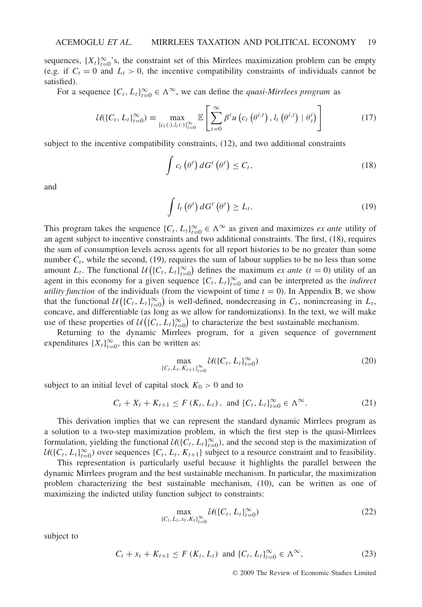sequences,  $\{X_t\}_{t=0}^{\infty}$ 's, the constraint set of this Mirrlees maximization problem can be empty (e.g. if  $C_t = 0$  and  $L_t > 0$ , the incentive compatibility constraints of individuals cannot be satisfied).

For a sequence  $\{C_t, L_t\}_{t=0}^{\infty} \in \Lambda^{\infty}$ , we can define the *quasi-Mirrlees program* as

$$
\mathcal{U}(\{C_t, L_t\}_{t=0}^{\infty}) \equiv \max_{\{c_t(\cdot), l_t(\cdot)\}_{t=0}^{\infty}} \mathbb{E}\left[\sum_{t=0}^{\infty} \beta^t u\left(c_t\left(\theta^{i,t}\right), l_t\left(\theta^{i,t}\right) \mid \theta_t^i\right)\right]
$$
(17)

subject to the incentive compatibility constraints, (12), and two additional constraints

$$
\int c_t \left(\theta^t\right) dG^t \left(\theta^t\right) \le C_t,
$$
\n(18)

and

$$
\int l_t(\theta^t) dG^t(\theta^t) \ge L_t.
$$
\n(19)

This program takes the sequence  $\{C_t, L_t\}_{t=0}^{\infty} \in \Lambda^{\infty}$  as given and maximizes *ex ante* utility of an agent subject to incentive constraints and two additional constraints. The first, (18), requires the sum of consumption levels across agents for all report histories to be no greater than some number  $C_t$ , while the second, (19), requires the sum of labour supplies to be no less than some amount *L<sub>t</sub>*. The functional  $\mathcal{U}((C_t, L_t)_{t=0}^{\infty})$  defines the maximum *ex ante* (*t* = 0) utility of an agent in this economy for a given sequence  $\{C_t, L_t\}_{t=0}^{\infty}$  and can be interpreted as the *indirect utility function* of the individuals (from the viewpoint of time  $t = 0$ ). In Appendix B, we show that the functional  $\mathcal{U}((C_t, L_t)_{t=0}^{\infty})$  is well-defined, nondecreasing in  $C_t$ , nonincreasing in  $L_t$ , concave, and differentiable (as long as we allow for randomizations). In the text, we will make use of these properties of  $\mathcal{U}(\{C_t, L_t\}_{t=0}^{\infty})$  to characterize the best sustainable mechanism.

Returning to the dynamic Mirrlees program, for a given sequence of government expenditures  ${X_t}_{t=0}^{\infty}$ , this can be written as:

$$
\max_{\{C_t, L_t, K_{t+1}\}_{t=0}^{\infty}} \mathcal{U}(\{C_t, L_t\}_{t=0}^{\infty})
$$
\n(20)

subject to an initial level of capital stock  $K_0 > 0$  and to

$$
C_t + X_t + K_{t+1} \le F(K_t, L_t), \text{ and } \{C_t, L_t\}_{t=0}^{\infty} \in \Lambda^{\infty}.
$$
 (21)

This derivation implies that we can represent the standard dynamic Mirrlees program as a solution to a two-step maximization problem, in which the first step is the quasi-Mirrlees formulation, yielding the functional  $U({C_t, L_t}_{t=0}^\infty)$ , and the second step is the maximization of  $U({C_t, L_t}_{t=0}^\infty)$  over sequences  ${C_t, L_t, K_{t+1}}$  subject to a resource constraint and to feasibility.

This representation is particularly useful because it highlights the parallel between the dynamic Mirrlees program and the best sustainable mechanism. In particular, the maximization problem characterizing the best sustainable mechanism, (10), can be written as one of maximizing the indicted utility function subject to constraints:

$$
\max_{\{C_t, L_t, x_t, K_t\}_{t=0}^{\infty}} \mathcal{U}(\{C_t, L_t\}_{t=0}^{\infty})
$$
\n(22)

subject to

$$
C_t + x_t + K_{t+1} \le F(K_t, L_t) \text{ and } \{C_t, L_t\}_{t=0}^{\infty} \in \Lambda^{\infty},
$$
\n(23)

© 2009 The Review of Economic Studies Limited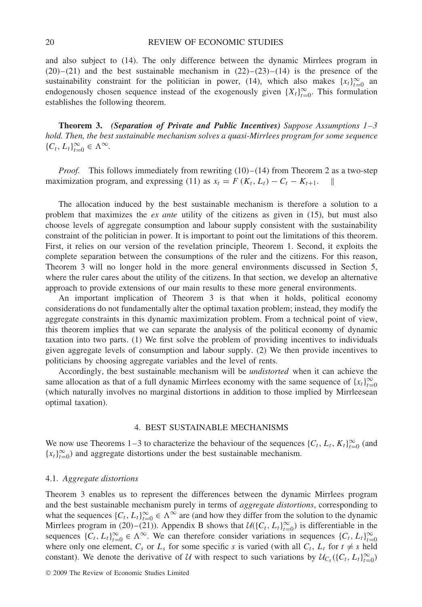and also subject to (14). The only difference between the dynamic Mirrlees program in  $(20)$ – $(21)$  and the best sustainable mechanism in  $(22)$ – $(23)$ – $(14)$  is the presence of the sustainability constraint for the politician in power, (14), which also makes  $\{x_t\}_{t=0}^{\infty}$  and endogenously chosen sequence instead of the exogenously given  $\{X_t\}_{t=0}^{\infty}$ . This formulation establishes the following theorem.

**Theorem 3.** *(Separation of Private and Public Incentives) Suppose Assumptions 1–3 hold. Then, the best sustainable mechanism solves a quasi-Mirrlees program for some sequence*  ${C_t, L_t}_{t=0}^{\infty} \in \Lambda^{\infty}.$ 

*Proof.* This follows immediately from rewriting (10)–(14) from Theorem 2 as a two-step maximization program, and expressing (11) as  $x_t = F(K_t, L_t) - C_t - K_{t+1}$ .

The allocation induced by the best sustainable mechanism is therefore a solution to a problem that maximizes the *ex ante* utility of the citizens as given in (15), but must also choose levels of aggregate consumption and labour supply consistent with the sustainability constraint of the politician in power. It is important to point out the limitations of this theorem. First, it relies on our version of the revelation principle, Theorem 1. Second, it exploits the complete separation between the consumptions of the ruler and the citizens. For this reason, Theorem 3 will no longer hold in the more general environments discussed in Section 5, where the ruler cares about the utility of the citizens. In that section, we develop an alternative approach to provide extensions of our main results to these more general environments.

An important implication of Theorem 3 is that when it holds, political economy considerations do not fundamentally alter the optimal taxation problem; instead, they modify the aggregate constraints in this dynamic maximization problem. From a technical point of view, this theorem implies that we can separate the analysis of the political economy of dynamic taxation into two parts. (1) We first solve the problem of providing incentives to individuals given aggregate levels of consumption and labour supply. (2) We then provide incentives to politicians by choosing aggregate variables and the level of rents.

Accordingly, the best sustainable mechanism will be *undistorted* when it can achieve the same allocation as that of a full dynamic Mirrlees economy with the same sequence of  ${x_t}_{t=0}^{\infty}$ (which naturally involves no marginal distortions in addition to those implied by Mirrleesean optimal taxation).

## 4. BEST SUSTAINABLE MECHANISMS

We now use Theorems 1–3 to characterize the behaviour of the sequences  $\{C_t, L_t, K_t\}_{t=0}^{\infty}$  (and  ${x_t}_{t=0}^{\infty}$  and aggregate distortions under the best sustainable mechanism.

#### 4.1. *Aggregate distortions*

Theorem 3 enables us to represent the differences between the dynamic Mirrlees program and the best sustainable mechanism purely in terms of *aggregate distortions*, corresponding to what the sequences  $\{C_t, L_t\}_{t=0}^{\infty} \in \Lambda^{\infty}$  are (and how they differ from the solution to the dynamic Mirrlees program in (20)–(21)). Appendix B shows that  $U(\{C_t, L_t\}_{t=0}^{\infty})$  is differentiable in the sequences  $\{C_t, L_t\}_{t=0}^{\infty} \in \Lambda^{\infty}$ . We can therefore consider variations in sequences  $\{C_t, L_t\}_{t=0}^{\infty}$ where only one element,  $C_s$  or  $L_s$  for some specific *s* is varied (with all  $C_t$ ,  $L_t$  for  $t \neq s$  held constant). We denote the derivative of U with respect to such variations by  $U_{C_s}(\{C_t, L_t\}_{t=0}^{\infty})$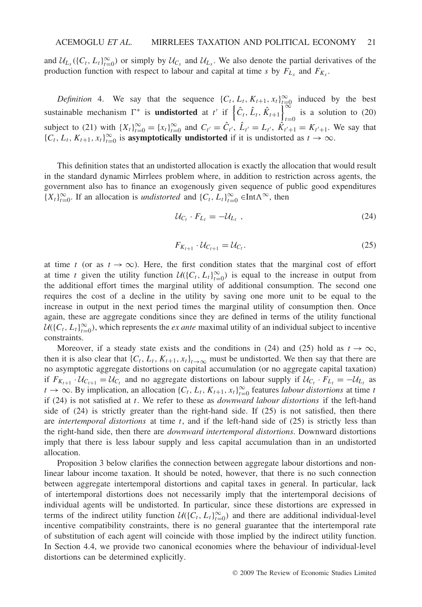and  $\mathcal{U}_{L_s}$  ({ $C_t$ ,  $L_t$ } $_{t=0}^{\infty}$ ) or simply by  $\mathcal{U}_{C_s}$  and  $\mathcal{U}_{L_s}$ . We also denote the partial derivatives of the production function with respect to labour and capital at time *s* by  $F_{L_s}$  and  $F_{K_s}$ .

*Definition* 4. We say that the sequence  $\{C_t, L_t, K_{t+1}, x_t\}_{t=0}^{\infty}$  induced by the best sustainable mechanism  $\Gamma^*$  is **undistorted** at *t'* if  $\left\{\hat{C}_t, \hat{L}_t, \hat{K}_{t+1}\right\}^{\infty}$  $t=0$  is a solution to (20) subject to (21) with  $\{X_t\}_{t=0}^{\infty} = \{x_t\}_{t=0}^{\infty}$  and  $C_{t'} = \hat{C}_{t'}$ ,  $\hat{L}_{t'} = L_{t'}$ ,  $\hat{K}_{t'+1} = K_{t'+1}$ . We say that  $\{C_t, L_t, K_{t+1}, x_t\}_{t=0}^{\infty}$  is **asymptotically undistorted** if it is undistorted as  $t \to \infty$ .

This definition states that an undistorted allocation is exactly the allocation that would result in the standard dynamic Mirrlees problem where, in addition to restriction across agents, the government also has to finance an exogenously given sequence of public good expenditures  ${X_t}_{t=0}^{\infty}$ . If an allocation is *undistorted* and  ${C_t, L_t}_{t=0}^{\infty} \in \text{Int}\Lambda^{\infty}$ , then

$$
\mathcal{U}_{C_t} \cdot F_{L_t} = -\mathcal{U}_{L_t} \tag{24}
$$

$$
F_{K_{t+1}} \cdot \mathcal{U}_{C_{t+1}} = \mathcal{U}_{C_t}.\tag{25}
$$

at time *t* (or as  $t \to \infty$ ). Here, the first condition states that the marginal cost of effort at time *t* given the utility function  $U({C_t, L_t}_{t=0}^\infty)$  is equal to the increase in output from the additional effort times the marginal utility of additional consumption. The second one requires the cost of a decline in the utility by saving one more unit to be equal to the increase in output in the next period times the marginal utility of consumption then. Once again, these are aggregate conditions since they are defined in terms of the utility functional  $U({C_t, L_t}_{t=0}^\infty)$ , which represents the *ex ante* maximal utility of an individual subject to incentive constraints.

Moreover, if a steady state exists and the conditions in (24) and (25) hold as  $t \to \infty$ , then it is also clear that  $\{C_t, L_t, K_{t+1}, x_t\}_{t\to\infty}$  must be undistorted. We then say that there are no asymptotic aggregate distortions on capital accumulation (or no aggregate capital taxation) if  $F_{K_{t+1}} \cdot U_{C_{t+1}} = U_{C_t}$  and no aggregate distortions on labour supply if  $U_{C_t} \cdot F_{L_t} = -U_{L_t}$  as  $t \to \infty$ . By implication, an allocation  $\{C_t, L_t, K_{t+1}, x_t\}_{t=0}^{\infty}$  features *labour distortions* at time *t* if (24) is not satisfied at *t*. We refer to these as *downward labour distortions* if the left-hand side of (24) is strictly greater than the right-hand side. If (25) is not satisfied, then there are *intertemporal distortions* at time *t*, and if the left-hand side of (25) is strictly less than the right-hand side, then there are *downward intertemporal distortions*. Downward distortions imply that there is less labour supply and less capital accumulation than in an undistorted allocation.

Proposition 3 below clarifies the connection between aggregate labour distortions and nonlinear labour income taxation. It should be noted, however, that there is no such connection between aggregate intertemporal distortions and capital taxes in general. In particular, lack of intertemporal distortions does not necessarily imply that the intertemporal decisions of individual agents will be undistorted. In particular, since these distortions are expressed in terms of the indirect utility function  $U({C_t, L_t}_{t=0}^\infty)$  and there are additional individual-level incentive compatibility constraints, there is no general guarantee that the intertemporal rate of substitution of each agent will coincide with those implied by the indirect utility function. In Section 4.4, we provide two canonical economies where the behaviour of individual-level distortions can be determined explicitly.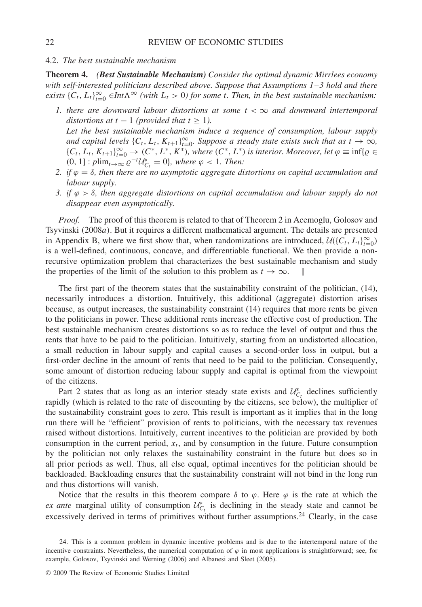#### 4.2. *The best sustainable mechanism*

**Theorem 4.** *(Best Sustainable Mechanism) Consider the optimal dynamic Mirrlees economy with self-interested politicians described above. Suppose that Assumptions 1–3 hold and there exists*  $\{C_t, L_t\}_{t=0}^{\infty} \in Int\Lambda^{\infty}$  (with  $L_t > 0$ ) for some *t. Then, in the best sustainable mechanism:* 

- *1. there are downward labour distortions at some t <* ∞ *and downward intertemporal distortions at*  $t - 1$  *(provided that*  $t > 1$ *). Let the best sustainable mechanism induce a sequence of consumption, labour supply and capital levels*  $\{C_t, L_t, K_{t+1}\}_{t=0}^{\infty}$ *. Suppose a steady state exists such that as*  $t \to \infty$ *,*  ${C_t, L_t, K_{t+1}}_{t=0}^{\infty} \rightarrow (C^*, L^*, K^*)$ , where  $(C^*, L^*)$  is interior. Moreover, let  $\varphi \equiv \inf\{\varrho \in \mathbb{C}\}$  $(0, 1]: \text{plim}_{t\to\infty} \varrho^{-t} \mathcal{U}_{C_t}^* = 0$ , where  $\varphi < 1$ . Then:
- *2. if ϕ* = *δ, then there are no asymptotic aggregate distortions on capital accumulation and labour supply.*
- *3. if ϕ>δ, then aggregate distortions on capital accumulation and labour supply do not disappear even asymptotically.*

*Proof.* The proof of this theorem is related to that of Theorem 2 in Acemoglu, Golosov and Tsyvinski *(*2008*a)*. But it requires a different mathematical argument. The details are presented in Appendix B, where we first show that, when randomizations are introduced,  $\mathcal{U}(\{C_t, L_t\}_{t=0}^{\infty})$ is a well-defined, continuous, concave, and differentiable functional. We then provide a nonrecursive optimization problem that characterizes the best sustainable mechanism and study the properties of the limit of the solution to this problem as  $t \to \infty$ .

The first part of the theorem states that the sustainability constraint of the politician, (14), necessarily introduces a distortion. Intuitively, this additional (aggregate) distortion arises because, as output increases, the sustainability constraint (14) requires that more rents be given to the politicians in power. These additional rents increase the effective cost of production. The best sustainable mechanism creates distortions so as to reduce the level of output and thus the rents that have to be paid to the politician. Intuitively, starting from an undistorted allocation, a small reduction in labour supply and capital causes a second-order loss in output, but a first-order decline in the amount of rents that need to be paid to the politician. Consequently, some amount of distortion reducing labour supply and capital is optimal from the viewpoint of the citizens.

Part 2 states that as long as an interior steady state exists and  $U_{C_t}^*$  declines sufficiently rapidly (which is related to the rate of discounting by the citizens, see below), the multiplier of the sustainability constraint goes to zero. This result is important as it implies that in the long run there will be "efficient" provision of rents to politicians, with the necessary tax revenues raised without distortions. Intuitively, current incentives to the politician are provided by both consumption in the current period,  $x_t$ , and by consumption in the future. Future consumption by the politician not only relaxes the sustainability constraint in the future but does so in all prior periods as well. Thus, all else equal, optimal incentives for the politician should be backloaded. Backloading ensures that the sustainability constraint will not bind in the long run and thus distortions will vanish.

Notice that the results in this theorem compare  $\delta$  to  $\varphi$ . Here  $\varphi$  is the rate at which the *ex ante* marginal utility of consumption  $U_{C_t}^*$  is declining in the steady state and cannot be excessively derived in terms of primitives without further assumptions.<sup>24</sup> Clearly, in the case

<sup>24.</sup> This is a common problem in dynamic incentive problems and is due to the intertemporal nature of the incentive constraints. Nevertheless, the numerical computation of  $\varphi$  in most applications is straightforward; see, for example, Golosov, Tsyvinski and Werning (2006) and Albanesi and Sleet (2005).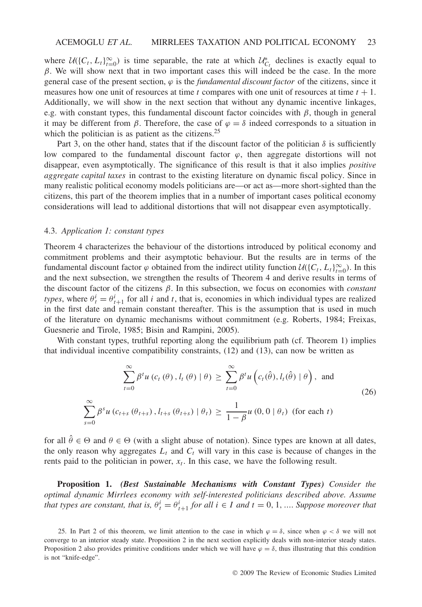where  $U({C_t, L_t})_{t=0}^{\infty}$  is time separable, the rate at which  $U_{C_t}^*$  declines is exactly equal to *β*. We will show next that in two important cases this will indeed be the case. In the more general case of the present section,  $\varphi$  is the *fundamental discount factor* of the citizens, since it measures how one unit of resources at time *t* compares with one unit of resources at time *t* + 1. Additionally, we will show in the next section that without any dynamic incentive linkages, e.g. with constant types, this fundamental discount factor coincides with *β*, though in general it may be different from *β*. Therefore, the case of  $\varphi = \delta$  indeed corresponds to a situation in which the politician is as patient as the citizens.<sup>25</sup>

Part 3, on the other hand, states that if the discount factor of the politician  $\delta$  is sufficiently low compared to the fundamental discount factor  $\varphi$ , then aggregate distortions will not disappear, even asymptotically. The significance of this result is that it also implies *positive aggregate capital taxes* in contrast to the existing literature on dynamic fiscal policy. Since in many realistic political economy models politicians are—or act as—more short-sighted than the citizens, this part of the theorem implies that in a number of important cases political economy considerations will lead to additional distortions that will not disappear even asymptotically.

## 4.3. *Application 1: constant types*

Theorem 4 characterizes the behaviour of the distortions introduced by political economy and commitment problems and their asymptotic behaviour. But the results are in terms of the fundamental discount factor  $\varphi$  obtained from the indirect utility function  $\mathcal{U}(\{C_t, L_t\}_{t=0}^{\infty})$ . In this and the next subsection, we strengthen the results of Theorem 4 and derive results in terms of the discount factor of the citizens *β*. In this subsection, we focus on economies with *constant types*, where  $\theta_t^i = \theta_{t+1}^i$  for all *i* and *t*, that is, economies in which individual types are realized in the first date and remain constant thereafter. This is the assumption that is used in much of the literature on dynamic mechanisms without commitment (e.g. Roberts, 1984; Freixas, Guesnerie and Tirole, 1985; Bisin and Rampini, 2005).

With constant types, truthful reporting along the equilibrium path (cf. Theorem 1) implies that individual incentive compatibility constraints, (12) and (13), can now be written as

$$
\sum_{t=0}^{\infty} \beta^t u(c_t(\theta), l_t(\theta) | \theta) \ge \sum_{t=0}^{\infty} \beta^t u(c_t(\hat{\theta}), l_t(\hat{\theta}) | \theta), \text{ and}
$$
\n
$$
\sum_{s=0}^{\infty} \beta^s u(c_{t+s}(\theta_{t+s}), l_{t+s}(\theta_{t+s}) | \theta_t) \ge \frac{1}{1-\beta} u(0, 0 | \theta_t) \text{ (for each } t)
$$
\n(26)

for all  $\hat{\theta} \in \Theta$  and  $\theta \in \Theta$  (with a slight abuse of notation). Since types are known at all dates, the only reason why aggregates  $L_t$  and  $C_t$  will vary in this case is because of changes in the rents paid to the politician in power,  $x_t$ . In this case, we have the following result.

**Proposition 1.** *(Best Sustainable Mechanisms with Constant Types) Consider the optimal dynamic Mirrlees economy with self-interested politicians described above. Assume that types are constant, that is,*  $\theta_t^i = \theta_{t+1}^i$  *for all*  $i \in I$  *and*  $t = 0, 1, ...$  *Suppose moreover that* 

<sup>25.</sup> In Part 2 of this theorem, we limit attention to the case in which  $\varphi = \delta$ , since when  $\varphi < \delta$  we will not converge to an interior steady state. Proposition 2 in the next section explicitly deals with non-interior steady states. Proposition 2 also provides primitive conditions under which we will have  $\varphi = \delta$ , thus illustrating that this condition is not "knife-edge".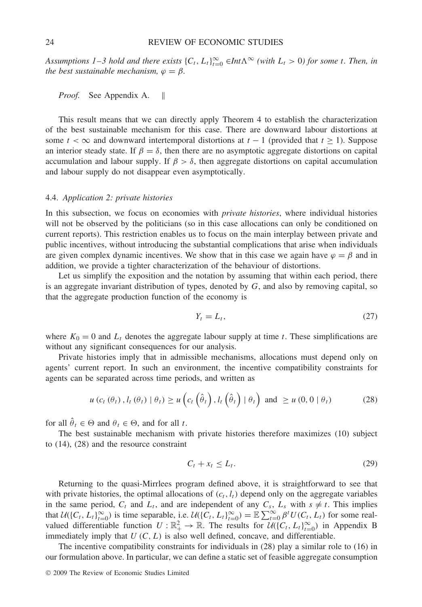*Assumptions 1–3 hold and there exists*  $\{C_t, L_t\}_{t=0}^{\infty} \in Int\Lambda^{\infty}$  *(with*  $L_t > 0$ *) for some t. Then, in the best sustainable mechanism,*  $\varphi = \beta$ *.* 

*Proof.* See Appendix A. ||

This result means that we can directly apply Theorem 4 to establish the characterization of the best sustainable mechanism for this case. There are downward labour distortions at some  $t < \infty$  and downward intertemporal distortions at  $t - 1$  (provided that  $t \ge 1$ ). Suppose an interior steady state. If  $\beta = \delta$ , then there are no asymptotic aggregate distortions on capital accumulation and labour supply. If  $\beta > \delta$ , then aggregate distortions on capital accumulation and labour supply do not disappear even asymptotically.

#### 4.4. *Application 2: private histories*

In this subsection, we focus on economies with *private histories*, where individual histories will not be observed by the politicians (so in this case allocations can only be conditioned on current reports). This restriction enables us to focus on the main interplay between private and public incentives, without introducing the substantial complications that arise when individuals are given complex dynamic incentives. We show that in this case we again have  $\varphi = \beta$  and in addition, we provide a tighter characterization of the behaviour of distortions.

Let us simplify the exposition and the notation by assuming that within each period, there is an aggregate invariant distribution of types, denoted by *G*, and also by removing capital, so that the aggregate production function of the economy is

$$
Y_t = L_t,\tag{27}
$$

where  $K_0 = 0$  and  $L_t$  denotes the aggregate labour supply at time *t*. These simplifications are without any significant consequences for our analysis.

Private histories imply that in admissible mechanisms, allocations must depend only on agents' current report. In such an environment, the incentive compatibility constraints for agents can be separated across time periods, and written as

$$
u\left(c_{t}\left(\theta_{t}\right),l_{t}\left(\theta_{t}\right)\mid\theta_{t}\right)\geq u\left(c_{t}\left(\hat{\theta}_{t}\right),l_{t}\left(\hat{\theta}_{t}\right)\mid\theta_{t}\right) \text{ and } \geq u\left(0,0\mid\theta_{t}\right) \tag{28}
$$

for all  $\hat{\theta}_t \in \Theta$  and  $\theta_t \in \Theta$ , and for all *t*.

The best sustainable mechanism with private histories therefore maximizes (10) subject to (14), (28) and the resource constraint

$$
C_t + x_t \le L_t. \tag{29}
$$

Returning to the quasi-Mirrlees program defined above, it is straightforward to see that with private histories, the optimal allocations of  $(c_t, l_t)$  depend only on the aggregate variables in the same period,  $C_t$  and  $L_t$ , and are independent of any  $C_s$ ,  $L_s$  with  $s \neq t$ . This implies that  $U(\lbrace C_t, L_t \rbrace_{t=0}^{\infty})$  is time separable, i.e.  $U(\lbrace C_t, L_t \rbrace_{t=0}^{\infty}) = \mathbb{E} \sum_{t=0}^{\infty} \beta^t U(C_t, L_t)$  for some realvalued differentiable function  $U : \mathbb{R}^2_+ \to \mathbb{R}$ . The results for  $\mathcal{U}(\{C_t, L_t\}_{t=0}^\infty)$  in Appendix B immediately imply that  $U(C, L)$  is also well defined, concave, and differentiable.

The incentive compatibility constraints for individuals in (28) play a similar role to (16) in our formulation above. In particular, we can define a static set of feasible aggregate consumption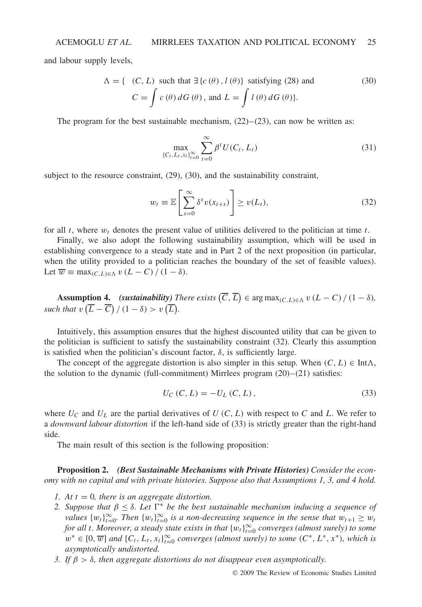and labour supply levels,

$$
\Lambda = \{ (C, L) \text{ such that } \exists \{c(\theta), l(\theta)\} \text{ satisfying (28) and}
$$
  

$$
C = \int c(\theta) dG(\theta), \text{ and } L = \int l(\theta) dG(\theta).
$$
 (30)

The program for the best sustainable mechanism,  $(22)$ – $(23)$ , can now be written as:

$$
\max_{\{C_t, L_t, x_t\}_{t=0}^{\infty}} \sum_{t=0}^{\infty} \beta^t U(C_t, L_t)
$$
\n(31)

subject to the resource constraint, (29), (30), and the sustainability constraint,

$$
w_t \equiv \mathbb{E}\left[\sum_{s=0}^{\infty} \delta^s v(x_{t+s})\right] \ge v(L_t),\tag{32}
$$

for all *t*, where *wt* denotes the present value of utilities delivered to the politician at time *t*.

Finally, we also adopt the following sustainability assumption, which will be used in establishing convergence to a steady state and in Part 2 of the next proposition (in particular, when the utility provided to a politician reaches the boundary of the set of feasible values). Let  $\overline{w} \equiv \max_{(C,L)\in\Lambda} v(L-C)/(1-\delta)$ .

**Assumption 4.** *(sustainability) There exists*  $(\overline{C}, \overline{L}) \in \arg \max_{(C, L) \in \Lambda} v (L - C) / (1 - \delta)$ *,* such that  $v\left(\overline{L} - \overline{C}\right) / (1 - \delta) > v\left(\overline{L}\right)$ .

Intuitively, this assumption ensures that the highest discounted utility that can be given to the politician is sufficient to satisfy the sustainability constraint (32). Clearly this assumption is satisfied when the politician's discount factor,  $\delta$ , is sufficiently large.

The concept of the aggregate distortion is also simpler in this setup. When  $(C, L) \in \text{Int}\Lambda$ , the solution to the dynamic (full-commitment) Mirrlees program  $(20)$ – $(21)$  satisfies:

$$
U_C(C, L) = -U_L(C, L), \t\t(33)
$$

where  $U_C$  and  $U_L$  are the partial derivatives of  $U(C, L)$  with respect to  $C$  and  $L$ . We refer to a *downward labour distortion* if the left-hand side of (33) is strictly greater than the right-hand side.

The main result of this section is the following proposition:

**Proposition 2.** *(Best Sustainable Mechanisms with Private Histories) Consider the economy with no capital and with private histories. Suppose also that Assumptions 1, 3, and 4 hold.*

- *1. At t* = 0*, there is an aggregate distortion.*
- 2. Suppose that  $β ≤ δ$ . Let  $Γ^*$  be the best sustainable mechanism inducing a sequence of *values*  $\{w_t\}_{t=0}^{\infty}$ . Then  $\{w_t\}_{t=0}^{\infty}$  is a non-decreasing sequence in the sense that  $w_{t+1} \geq w_t$ *for all t. Moreover, a steady state exists in that*  ${w_t}_{t=0}^{\infty}$  *converges (almost surely) to some*  $w^* \in [0, \overline{w}]$  and  $\{C_t, L_t, x_t\}_{t=0}^{\infty}$  *converges (almost surely) to some*  $(C^*, L^*, x^*)$ *, which is asymptotically undistorted.*
- *3. If β>δ, then aggregate distortions do not disappear even asymptotically.*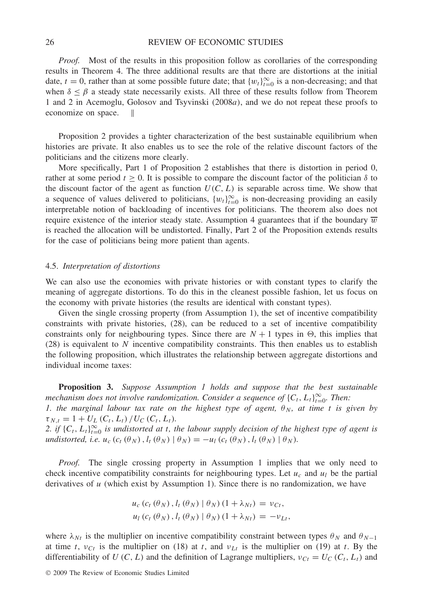*Proof.* Most of the results in this proposition follow as corollaries of the corresponding results in Theorem 4. The three additional results are that there are distortions at the initial date,  $t = 0$ , rather than at some possible future date; that  $\{w_t\}_{t=0}^{\infty}$  is a non-decreasing; and that when  $\delta \leq \beta$  a steady state necessarily exists. All three of these results follow from Theorem 1 and 2 in Acemoglu, Golosov and Tsyvinski *(*2008*a)*, and we do not repeat these proofs to economize on space.

Proposition 2 provides a tighter characterization of the best sustainable equilibrium when histories are private. It also enables us to see the role of the relative discount factors of the politicians and the citizens more clearly.

More specifically, Part 1 of Proposition 2 establishes that there is distortion in period 0, rather at some period  $t \geq 0$ . It is possible to compare the discount factor of the politician  $\delta$  to the discount factor of the agent as function  $U(C, L)$  is separable across time. We show that a sequence of values delivered to politicians,  ${w_t}_{t=0}^{\infty}$  is non-decreasing providing an easily interpretable notion of backloading of incentives for politicians. The theorem also does not require existence of the interior steady state. Assumption 4 guarantees that if the boundary  $\overline{w}$ is reached the allocation will be undistorted. Finally, Part 2 of the Proposition extends results for the case of politicians being more patient than agents.

#### 4.5. *Interpretation of distortions*

We can also use the economies with private histories or with constant types to clarify the meaning of aggregate distortions. To do this in the cleanest possible fashion, let us focus on the economy with private histories (the results are identical with constant types).

Given the single crossing property (from Assumption 1), the set of incentive compatibility constraints with private histories, (28), can be reduced to a set of incentive compatibility constraints only for neighbouring types. Since there are  $N + 1$  types in  $\Theta$ , this implies that (28) is equivalent to *N* incentive compatibility constraints. This then enables us to establish the following proposition, which illustrates the relationship between aggregate distortions and individual income taxes:

**Proposition 3.** *Suppose Assumption 1 holds and suppose that the best sustainable mechanism does not involve randomization. Consider a sequence of*  $\{C_t, L_t\}_{t=0}^{\infty}$ . Then: *1. the marginal labour tax rate on the highest type of agent,*  $\theta_N$ , at time *t* is given by  $\tau_{N,t} = 1 + U_L(C_t, L_t) / U_C(C_t, L_t)$ *.* 

2. if  $\{C_t, L_t\}_{t=0}^{\infty}$  is undistorted at *t*, the labour supply decision of the highest type of agent is *undistorted, i.e.*  $u_c$   $(c_t \left(\theta_N\right), l_t \left(\theta_N\right) | \theta_N) = -u_l \left(c_t \left(\theta_N\right), l_t \left(\theta_N\right) | \theta_N\right)$ .

*Proof.* The single crossing property in Assumption 1 implies that we only need to check incentive compatibility constraints for neighbouring types. Let  $u_c$  and  $u_l$  be the partial derivatives of *u* (which exist by Assumption 1). Since there is no randomization, we have

$$
u_c (c_t (\theta_N), l_t (\theta_N) | \theta_N) (1 + \lambda_{Nt}) = v_{Ct},
$$
  

$$
u_l (c_t (\theta_N), l_t (\theta_N) | \theta_N) (1 + \lambda_{Nt}) = -v_{Lt},
$$

where  $\lambda_{Nt}$  is the multiplier on incentive compatibility constraint between types  $\theta_N$  and  $\theta_{N-1}$ at time *t*,  $v_{Ct}$  is the multiplier on (18) at *t*, and  $v_{Lt}$  is the multiplier on (19) at *t*. By the differentiability of *U*  $(C, L)$  and the definition of Lagrange multipliers,  $v_{Ct} = U_C(C_t, L_t)$  and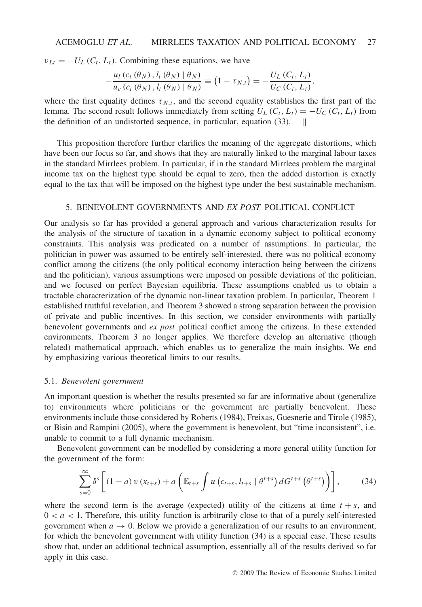$v_{Lt} = -U_L(C_t, L_t)$ . Combining these equations, we have

$$
-\frac{u_1(c_t(\theta_N), l_t(\theta_N))(\theta_N)}{u_c(c_t(\theta_N), l_t(\theta_N))(\theta_N)} \equiv (1-\tau_{N,t}) = -\frac{U_L(c_t, L_t)}{U_C(c_t, L_t)},
$$

where the first equality defines  $\tau_{N,t}$ , and the second equality establishes the first part of the lemma. The second result follows immediately from setting  $U_L(C_t, L_t) = -U_C(C_t, L_t)$  from the definition of an undistorted sequence, in particular, equation (33).

This proposition therefore further clarifies the meaning of the aggregate distortions, which have been our focus so far, and shows that they are naturally linked to the marginal labour taxes in the standard Mirrlees problem. In particular, if in the standard Mirrlees problem the marginal income tax on the highest type should be equal to zero, then the added distortion is exactly equal to the tax that will be imposed on the highest type under the best sustainable mechanism.

## 5. BENEVOLENT GOVERNMENTS AND *EX POST* POLITICAL CONFLICT

Our analysis so far has provided a general approach and various characterization results for the analysis of the structure of taxation in a dynamic economy subject to political economy constraints. This analysis was predicated on a number of assumptions. In particular, the politician in power was assumed to be entirely self-interested, there was no political economy conflict among the citizens (the only political economy interaction being between the citizens and the politician), various assumptions were imposed on possible deviations of the politician, and we focused on perfect Bayesian equilibria. These assumptions enabled us to obtain a tractable characterization of the dynamic non-linear taxation problem. In particular, Theorem 1 established truthful revelation, and Theorem 3 showed a strong separation between the provision of private and public incentives. In this section, we consider environments with partially benevolent governments and *ex post* political conflict among the citizens. In these extended environments, Theorem 3 no longer applies. We therefore develop an alternative (though related) mathematical approach, which enables us to generalize the main insights. We end by emphasizing various theoretical limits to our results.

## 5.1. *Benevolent government*

An important question is whether the results presented so far are informative about (generalize to) environments where politicians or the government are partially benevolent. These environments include those considered by Roberts (1984), Freixas, Guesnerie and Tirole (1985), or Bisin and Rampini (2005), where the government is benevolent, but "time inconsistent", i.e. unable to commit to a full dynamic mechanism.

Benevolent government can be modelled by considering a more general utility function for the government of the form:

$$
\sum_{s=0}^{\infty} \delta^s \left[ (1-a) v (x_{t+s}) + a \left( \mathbb{E}_{t+s} \int u (c_{t+s}, l_{t+s} | \theta^{t+s}) dG^{t+s} (\theta^{t+s}) \right) \right], \tag{34}
$$

where the second term is the average (expected) utility of the citizens at time  $t + s$ , and  $0 < a < 1$ . Therefore, this utility function is arbitrarily close to that of a purely self-interested government when  $a \to 0$ . Below we provide a generalization of our results to an environment, for which the benevolent government with utility function (34) is a special case. These results show that, under an additional technical assumption, essentially all of the results derived so far apply in this case.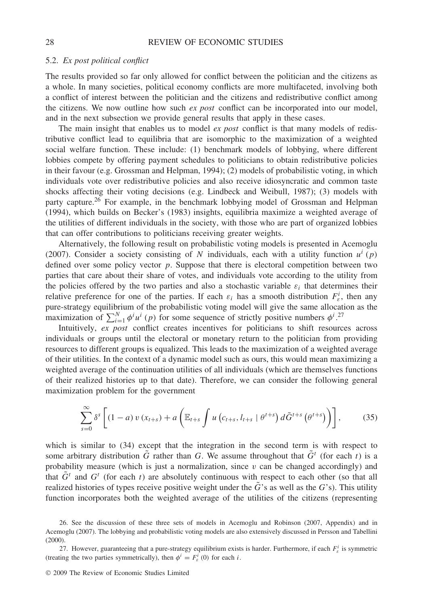#### 5.2. *Ex post political conflict*

The results provided so far only allowed for conflict between the politician and the citizens as a whole. In many societies, political economy conflicts are more multifaceted, involving both a conflict of interest between the politician and the citizens and redistributive conflict among the citizens. We now outline how such *ex post* conflict can be incorporated into our model, and in the next subsection we provide general results that apply in these cases.

The main insight that enables us to model *ex post* conflict is that many models of redistributive conflict lead to equilibria that are isomorphic to the maximization of a weighted social welfare function. These include: (1) benchmark models of lobbying, where different lobbies compete by offering payment schedules to politicians to obtain redistributive policies in their favour (e.g. Grossman and Helpman, 1994); (2) models of probabilistic voting, in which individuals vote over redistributive policies and also receive idiosyncratic and common taste shocks affecting their voting decisions (e.g. Lindbeck and Weibull, 1987); (3) models with party capture.26 For example, in the benchmark lobbying model of Grossman and Helpman (1994), which builds on Becker's (1983) insights, equilibria maximize a weighted average of the utilities of different individuals in the society, with those who are part of organized lobbies that can offer contributions to politicians receiving greater weights.

Alternatively, the following result on probabilistic voting models is presented in Acemoglu (2007). Consider a society consisting of *N* individuals, each with a utility function  $u^{i}(p)$ defined over some policy vector *p*. Suppose that there is electoral competition between two parties that care about their share of votes, and individuals vote according to the utility from the policies offered by the two parties and also a stochastic variable  $\varepsilon_i$  that determines their relative preference for one of the parties. If each  $\varepsilon_i$  has a smooth distribution  $F^i_{\varepsilon}$ , then any pure-strategy equilibrium of the probabilistic voting model will give the same allocation as the maximization of  $\sum_{i=1}^{N} \phi^{i} u^{i}$  (*p*) for some sequence of strictly positive numbers  $\phi^{i}$ .<sup>27</sup>

Intuitively, *ex post* conflict creates incentives for politicians to shift resources across individuals or groups until the electoral or monetary return to the politician from providing resources to different groups is equalized. This leads to the maximization of a weighted average of their utilities. In the context of a dynamic model such as ours, this would mean maximizing a weighted average of the continuation utilities of all individuals (which are themselves functions of their realized histories up to that date). Therefore, we can consider the following general maximization problem for the government

$$
\sum_{s=0}^{\infty} \delta^s \left[ (1-a) v(x_{t+s}) + a \left( \mathbb{E}_{t+s} \int u \left( c_{t+s}, l_{t+s} \mid \theta^{t+s} \right) d\tilde{G}^{t+s} \left( \theta^{t+s} \right) \right) \right], \tag{35}
$$

which is similar to (34) except that the integration in the second term is with respect to some arbitrary distribution  $\tilde{G}$  rather than *G*. We assume throughout that  $\tilde{G}^t$  (for each *t*) is a probability measure (which is just a normalization, since  $v$  can be changed accordingly) and that  $\tilde{G}^t$  and  $G^t$  (for each *t*) are absolutely continuous with respect to each other (so that all realized histories of types receive positive weight under the  $\tilde{G}$ 's as well as the  $G$ 's). This utility function incorporates both the weighted average of the utilities of the citizens (representing

<sup>26.</sup> See the discussion of these three sets of models in Acemoglu and Robinson (2007, Appendix) and in Acemoglu (2007). The lobbying and probabilistic voting models are also extensively discussed in Persson and Tabellini (2000).

<sup>27.</sup> However, guaranteeing that a pure-strategy equilibrium exists is harder. Furthermore, if each *F<sup>i</sup> <sup>ε</sup>* is symmetric (treating the two parties symmetrically), then  $\phi^i = F^i_\varepsilon(0)$  for each *i*.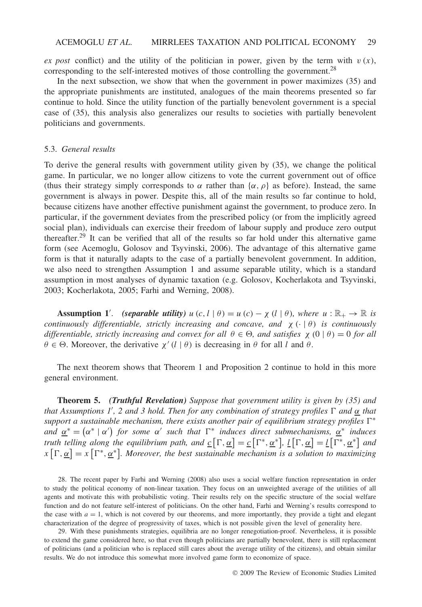*ex post* conflict) and the utility of the politician in power, given by the term with  $v(x)$ , corresponding to the self-interested motives of those controlling the government.<sup>28</sup>

In the next subsection, we show that when the government in power maximizes (35) and the appropriate punishments are instituted, analogues of the main theorems presented so far continue to hold. Since the utility function of the partially benevolent government is a special case of (35), this analysis also generalizes our results to societies with partially benevolent politicians and governments.

## 5.3. *General results*

To derive the general results with government utility given by (35), we change the political game. In particular, we no longer allow citizens to vote the current government out of office (thus their strategy simply corresponds to  $\alpha$  rather than  $\{\alpha, \rho\}$  as before). Instead, the same government is always in power. Despite this, all of the main results so far continue to hold, because citizens have another effective punishment against the government, to produce zero. In particular, if the government deviates from the prescribed policy (or from the implicitly agreed social plan), individuals can exercise their freedom of labour supply and produce zero output thereafter.29 It can be verified that all of the results so far hold under this alternative game form (see Acemoglu, Golosov and Tsyvinski, 2006). The advantage of this alternative game form is that it naturally adapts to the case of a partially benevolent government. In addition, we also need to strengthen Assumption 1 and assume separable utility, which is a standard assumption in most analyses of dynamic taxation (e.g. Golosov, Kocherlakota and Tsyvinski, 2003; Kocherlakota, 2005; Farhi and Werning, 2008).

**Assumption 1'**. *(separable utility)*  $u(c, l | \theta) = u(c) - \chi(l | \theta)$ *, where*  $u : \mathbb{R}_+ \to \mathbb{R}$  *is continuously differentiable, strictly increasing and concave, and*  $\chi$  ( $\cdot$  | $\theta$ ) *is continuously differentiable, strictly increasing and convex for all*  $\theta \in \Theta$ , and satisfies  $\chi(0 | \theta) = 0$  *for all*  $\theta \in \Theta$ . Moreover, the derivative  $\chi'(l | \theta)$  is decreasing in  $\theta$  for all *l* and  $\theta$ .

The next theorem shows that Theorem 1 and Proposition 2 continue to hold in this more general environment.

**Theorem 5.** *(Truthful Revelation) Suppose that government utility is given by (35) and that Assumptions 1 , 2 and 3 hold. Then for any combination of strategy profiles and α that support a sustainable mechanism, there exists another pair of equilibrium strategy profiles*  $\Gamma^*$  $\alpha^* = (\alpha^* \mid \alpha')$  *for some*  $\alpha'$  *such that*  $\Gamma^*$  *induces direct submechanisms,*  $\underline{\alpha^*}$  *induces truth telling along the equilibrium path, and*  $\underline{c}[\Gamma, \underline{\alpha}] = \underline{c}[\Gamma^*, \underline{\alpha}^*], \underline{l}[\Gamma, \underline{\alpha}] = \underline{l}[\Gamma^*, \underline{\alpha}^*]$  *and*  $x \left[ \Gamma, \underline{\alpha} \right] = x \left[ \Gamma^*, \underline{\alpha}^* \right]$ . Moreover, the best sustainable mechanism is a solution to maximizing

28. The recent paper by Farhi and Werning (2008) also uses a social welfare function representation in order to study the political economy of non-linear taxation. They focus on an unweighted average of the utilities of all agents and motivate this with probabilistic voting. Their results rely on the specific structure of the social welfare function and do not feature self-interest of politicians. On the other hand, Farhi and Werning's results correspond to the case with  $a = 1$ , which is not covered by our theorems, and more importantly, they provide a tight and elegant characterization of the degree of progressivity of taxes, which is not possible given the level of generality here.

29. With these punishments strategies, equilibria are no longer renegotiation-proof. Nevertheless, it is possible to extend the game considered here, so that even though politicians are partially benevolent, there is still replacement of politicians (and a politician who is replaced still cares about the average utility of the citizens), and obtain similar results. We do not introduce this somewhat more involved game form to economize of space.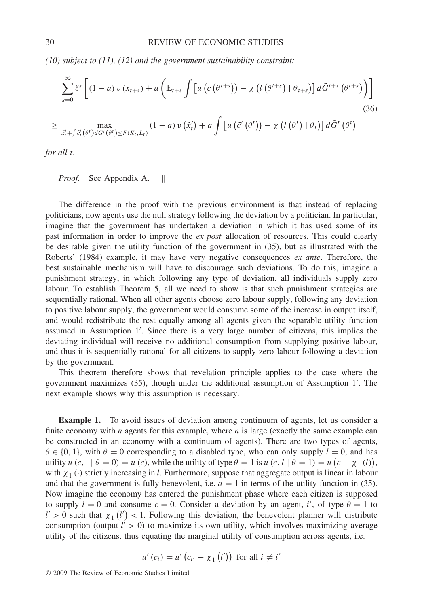*(10) subject to (11), (12) and the government sustainability constraint:*

$$
\sum_{s=0}^{\infty} \delta^{s} \left[ (1-a) v (x_{t+s}) + a \left( \mathbb{E}_{t+s} \int \left[ u \left( c \left( \theta^{t+s} \right) \right) - \chi \left( l \left( \theta^{t+s} \right) \right] \theta_{t+s} \right) \right] d\tilde{G}^{t+s} \left( \theta^{t+s} \right) \right]
$$
\n
$$
\geq \max_{\tilde{x}'_t + \int \tilde{c}'_t(\theta^t) dG^t(\theta^t) \leq F(K_t, L_t)} (1-a) v (\tilde{x}'_t) + a \int \left[ u \left( \tilde{c}' \left( \theta^t \right) \right) - \chi \left( l \left( \theta^t \right) \right] \theta_t \right] d\tilde{G}^t \left( \theta^t \right)
$$
\n(36)

*for all t.*

*Proof.* See Appendix A. ||

The difference in the proof with the previous environment is that instead of replacing politicians, now agents use the null strategy following the deviation by a politician. In particular, imagine that the government has undertaken a deviation in which it has used some of its past information in order to improve the *ex post* allocation of resources. This could clearly be desirable given the utility function of the government in (35), but as illustrated with the Roberts' (1984) example, it may have very negative consequences *ex ante*. Therefore, the best sustainable mechanism will have to discourage such deviations. To do this, imagine a punishment strategy, in which following any type of deviation, all individuals supply zero labour. To establish Theorem 5, all we need to show is that such punishment strategies are sequentially rational. When all other agents choose zero labour supply, following any deviation to positive labour supply, the government would consume some of the increase in output itself, and would redistribute the rest equally among all agents given the separable utility function assumed in Assumption 1 . Since there is a very large number of citizens, this implies the deviating individual will receive no additional consumption from supplying positive labour, and thus it is sequentially rational for all citizens to supply zero labour following a deviation by the government.

This theorem therefore shows that revelation principle applies to the case where the government maximizes (35), though under the additional assumption of Assumption 1 . The next example shows why this assumption is necessary.

**Example 1.** To avoid issues of deviation among continuum of agents, let us consider a finite economy with *n* agents for this example, where *n* is large (exactly the same example can be constructed in an economy with a continuum of agents). There are two types of agents,  $\theta \in \{0, 1\}$ , with  $\theta = 0$  corresponding to a disabled type, who can only supply  $l = 0$ , and has utility *u*  $(c, \cdot | \theta = 0) = u(c)$ , while the utility of type  $\theta = 1$  is  $u(c, l | \theta = 1) = u(c - \chi_1(l)),$ with *χ*<sup>1</sup> *(*·*)* strictly increasing in *l.* Furthermore, suppose that aggregate output is linear in labour and that the government is fully benevolent, i.e.  $a = 1$  in terms of the utility function in (35). Now imagine the economy has entered the punishment phase where each citizen is supposed to supply  $l = 0$  and consume  $c = 0$ . Consider a deviation by an agent, *i'*, of type  $\theta = 1$  to  $l' > 0$  such that  $\chi_1(l') < 1$ . Following this deviation, the benevolent planner will distribute consumption (output  $l' > 0$ ) to maximize its own utility, which involves maximizing average utility of the citizens, thus equating the marginal utility of consumption across agents, i.e.

$$
u'(c_i) = u'\left(c_{i'} - \chi_1(l')\right) \text{ for all } i \neq i'
$$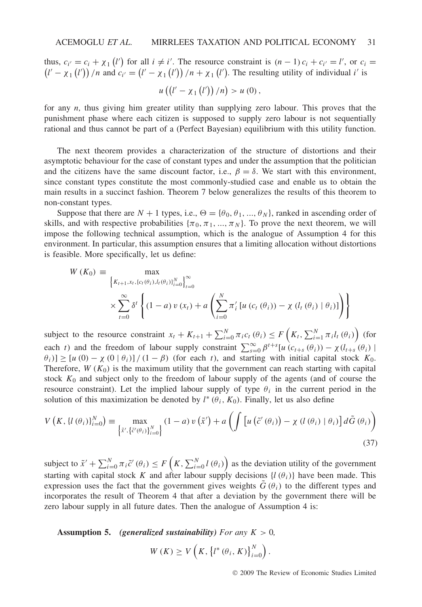thus,  $c_i = c_i + \chi_1(l')$  for all  $i \neq i'$ . The resource constraint is  $(n-1)c_i + c_{i'} = l'$ thus,  $c_i = c_i + \chi_1(l')$  for all  $i \neq i'$ . The resource constraint is  $(n-1)c_i + c_{i'} = l'$ , or  $c_i = (l' - \chi_1(l'))/n$  and  $c_{i'} = (l' - \chi_1(l'))/n + \chi_1(l')$ . The resulting utility of individual *i*' is

$$
u\left(\left(l'-\chi_1\left(l'\right)\right)/n\right)>u\left(0\right),\,
$$

for any *n,* thus giving him greater utility than supplying zero labour. This proves that the punishment phase where each citizen is supposed to supply zero labour is not sequentially rational and thus cannot be part of a (Perfect Bayesian) equilibrium with this utility function.

The next theorem provides a characterization of the structure of distortions and their asymptotic behaviour for the case of constant types and under the assumption that the politician and the citizens have the same discount factor, i.e.,  $\beta = \delta$ . We start with this environment, since constant types constitute the most commonly-studied case and enable us to obtain the main results in a succinct fashion. Theorem 7 below generalizes the results of this theorem to non-constant types.

Suppose that there are  $N + 1$  types, i.e.,  $\Theta = {\theta_0, \theta_1, ..., \theta_N}$ , ranked in ascending order of skills, and with respective probabilities  $\{\pi_0, \pi_1, \dots, \pi_N\}$ . To prove the next theorem, we will impose the following technical assumption, which is the analogue of Assumption 4 for this environment. In particular, this assumption ensures that a limiting allocation without distortions is feasible. More specifically, let us define:

$$
W(K_0) = \max_{\{K_{t+1}, x_t, \{c_t(\theta_i), l_t(\theta_i)\}_{i=0}^N\}} \sum_{t=0}^{\infty} \delta^t \left\{ (1-a) v(x_t) + a \left( \sum_{i=0}^N \pi'_i [u(c_t(\theta_i)) - \chi(l_t(\theta_i) | \theta_i)] \right) \right\}
$$

subject to the resource constraint  $x_t + K_{t+1} + \sum_{i=0}^{N} \pi_i c_i (\theta_i) \leq F\left(K_t, \sum_{i=1}^{N} \pi_i l_i (\theta_i)\right)$  (for each *t*) and the freedom of labour supply constraint  $\sum_{s=0}^{\infty} \beta^{t+s} [u(c_{t+s}(\theta_i)) - \chi(l_{t+s}(\theta_i))]$  $(\theta_i)$ ]  $\geq$  [*u* (0) − *χ* (0 |  $\theta_i$ )] */* (1 −  $\beta$ ) (for each *t*), and starting with initial capital stock *K*<sub>0</sub>. Therefore,  $W(K_0)$  is the maximum utility that the government can reach starting with capital stock  $K_0$  and subject only to the freedom of labour supply of the agents (and of course the resource constraint). Let the implied labour supply of type  $\theta_i$  in the current period in the solution of this maximization be denoted by  $l^*(\theta_i, K_0)$ . Finally, let us also define

$$
V\left(K, \{l(\theta_i)\}_{i=0}^N\right) \equiv \max_{\left\{\tilde{x}', \{\tilde{c}'(\theta_i)\}_{i=0}^N\right\}} (1-a) v\left(\tilde{x}'\right) + a \left(\int \left[u\left(\tilde{c}'(\theta_i)\right) - \chi\left(l\left(\theta_i\right) \mid \theta_i\right)\right] d\tilde{G}(\theta_i)\right)
$$
\n(37)

subject to  $\tilde{x}' + \sum_{i=0}^{N} \pi_i \tilde{c}'(\theta_i) \le F\left(K, \sum_{i=0}^{N} l(\theta_i)\right)$  as the deviation utility of the government starting with capital stock *K* and after labour supply decisions  $\{l(\theta_i)\}\$  have been made. This expression uses the fact that the government gives weights  $G(\theta_i)$  to the different types and incorporates the result of Theorem 4 that after a deviation by the government there will be zero labour supply in all future dates. Then the analogue of Assumption 4 is:

**Assumption 5.** *(generalized sustainability) For any K >* 0*,*

$$
W(K) \geq V\left(K, \left\{l^*(\theta_i, K)\right\}_{i=0}^N\right).
$$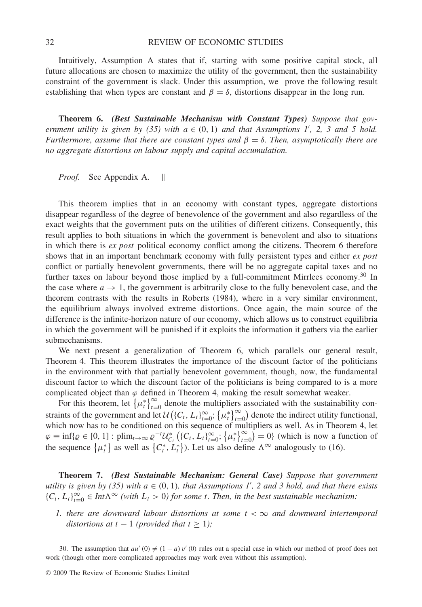Intuitively, Assumption A states that if, starting with some positive capital stock, all future allocations are chosen to maximize the utility of the government, then the sustainability constraint of the government is slack. Under this assumption, we prove the following result establishing that when types are constant and  $\beta = \delta$ , distortions disappear in the long run.

**Theorem 6.** *(Best Sustainable Mechanism with Constant Types) Suppose that government utility is given by (35) with*  $a \in (0, 1)$  *and that Assumptions 1', 2, 3 and 5 hold. Furthermore, assume that there are constant types and*  $\beta = \delta$ *. Then, asymptotically there are no aggregate distortions on labour supply and capital accumulation.*

*Proof.* See Appendix A. ||

This theorem implies that in an economy with constant types, aggregate distortions disappear regardless of the degree of benevolence of the government and also regardless of the exact weights that the government puts on the utilities of different citizens. Consequently, this result applies to both situations in which the government is benevolent and also to situations in which there is *ex post* political economy conflict among the citizens. Theorem 6 therefore shows that in an important benchmark economy with fully persistent types and either *ex post* conflict or partially benevolent governments, there will be no aggregate capital taxes and no further taxes on labour beyond those implied by a full-commitment Mirrlees economy.<sup>30</sup> In the case where  $a \to 1$ , the government is arbitrarily close to the fully benevolent case, and the theorem contrasts with the results in Roberts (1984), where in a very similar environment, the equilibrium always involved extreme distortions. Once again, the main source of the difference is the infinite-horizon nature of our economy, which allows us to construct equilibria in which the government will be punished if it exploits the information it gathers via the earlier submechanisms.

We next present a generalization of Theorem 6, which parallels our general result, Theorem 4. This theorem illustrates the importance of the discount factor of the politicians in the environment with that partially benevolent government, though, now, the fundamental discount factor to which the discount factor of the politicians is being compared to is a more complicated object than  $\varphi$  defined in Theorem 4, making the result somewhat weaker.

For this theorem, let  $\{\mu_t^*\}_{t=0}^\infty$  denote the multipliers associated with the sustainability constraints of the government and let  $\mathcal{U}(\{C_t, L_t\}_{t=0}^{\infty}; \{\mu_t^*\}_{t=0}^{\infty})$  denote the indirect utility functional, which now has to be conditioned on this sequence of multipliers as well. As in Theorem 4, let  $\varphi \equiv \inf \{ \varrho \in [0, 1] : \text{plim}_{t \to \infty} \varrho^{-t} \mathcal{U}_{C_t}^* \left( \{ C_t, L_t \}_{t=0}^{\infty}; \{ \mu_t^* \}_{t=0}^{\infty} \right) = 0 \}$  (which is now a function of the sequence  $\{\mu_t^*\}$  as well as  $\{C_t^*, L_t^*\}$ . Let us also define  $\Lambda^\infty$  analogously to (16).

**Theorem 7.** *(Best Sustainable Mechanism: General Case) Suppose that government utility is given by (35) with*  $a \in (0, 1)$ *, that Assumptions 1', 2 and 3 hold, and that there exists*  ${C_t, L_t}_{t=0}^{\infty} \in Int\Lambda^{\infty}$  *(with*  $L_t > 0$ *) for some t. Then, in the best sustainable mechanism:* 

*1. there are downward labour distortions at some*  $t < \infty$  *and downward intertemporal distortions at*  $t - 1$  *(provided that*  $t \geq 1$ *);* 

30. The assumption that  $au'(0) \neq (1 - a) v'(0)$  rules out a special case in which our method of proof does not work (though other more complicated approaches may work even without this assumption).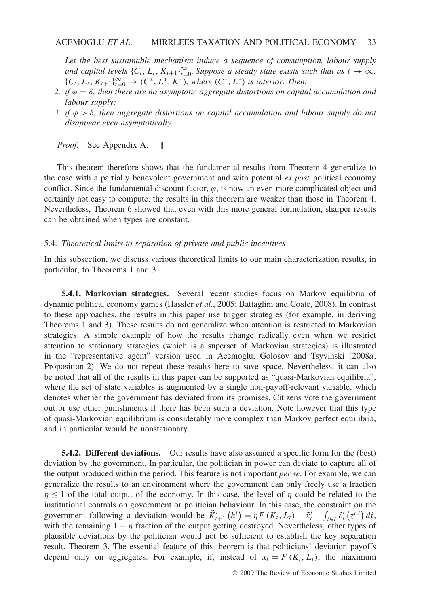*Let the best sustainable mechanism induce a sequence of consumption, labour supply and capital levels*  $\{C_t, L_t, K_{t+1}\}_{t=0}^{\infty}$ . Suppose a steady state exists such that as  $t \to \infty$ ,  ${C_t, L_t, K_{t+1}}_{t=0}^{\infty} \rightarrow (C^*, L^*, K^*)$ , where  $(C^*, L^*)$  is interior. Then:

- *2. if ϕ* = *δ, then there are no asymptotic aggregate distortions on capital accumulation and labour supply;*
- *3. if ϕ>δ, then aggregate distortions on capital accumulation and labour supply do not disappear even asymptotically.*

*Proof.* See Appendix A. ||

This theorem therefore shows that the fundamental results from Theorem 4 generalize to the case with a partially benevolent government and with potential *ex post* political economy conflict. Since the fundamental discount factor,  $\varphi$ , is now an even more complicated object and certainly not easy to compute, the results in this theorem are weaker than those in Theorem 4. Nevertheless, Theorem 6 showed that even with this more general formulation, sharper results can be obtained when types are constant.

## 5.4. *Theoretical limits to separation of private and public incentives*

In this subsection, we discuss various theoretical limits to our main characterization results, in particular, to Theorems 1 and 3.

**5.4.1. Markovian strategies.** Several recent studies focus on Markov equilibria of dynamic political economy games (Hassler *et al.*, 2005; Battaglini and Coate, 2008). In contrast to these approaches, the results in this paper use trigger strategies (for example, in deriving Theorems 1 and 3). These results do not generalize when attention is restricted to Markovian strategies. A simple example of how the results change radically even when we restrict attention to stationary strategies (which is a superset of Markovian strategies) is illustrated in the "representative agent" version used in Acemoglu, Golosov and Tsyvinski (2008*a*, Proposition 2). We do not repeat these results here to save space. Nevertheless, it can also be noted that all of the results in this paper can be supported as "quasi-Markovian equilibria", where the set of state variables is augmented by a single non-payoff-relevant variable, which denotes whether the government has deviated from its promises. Citizens vote the government out or use other punishments if there has been such a deviation. Note however that this type of quasi-Markovian equilibrium is considerably more complex than Markov perfect equilibria, and in particular would be nonstationary.

**5.4.2. Different deviations.** Our results have also assumed a specific form for the (best) deviation by the government. In particular, the politician in power can deviate to capture all of the output produced within the period. This feature is not important *per se*. For example, we can generalize the results to an environment where the government can only freely use a fraction *η* ≤ 1 of the total output of the economy. In this case, the level of *η* could be related to the institutional controls on government or politician behaviour. In this case, the constraint on the government following a deviation would be  $\tilde{K}'_{t+1}(h^t) = \eta F(K_t, L_t) - \tilde{x}'_t - \int_{i \in I} \tilde{c}'_t(z^{i,t}) dt$ , with the remaining  $1 - \eta$  fraction of the output getting destroyed. Nevertheless, other types of plausible deviations by the politician would not be sufficient to establish the key separation result, Theorem 3. The essential feature of this theorem is that politicians' deviation payoffs depend only on aggregates. For example, if, instead of  $x_t = F(K_t, L_t)$ , the maximum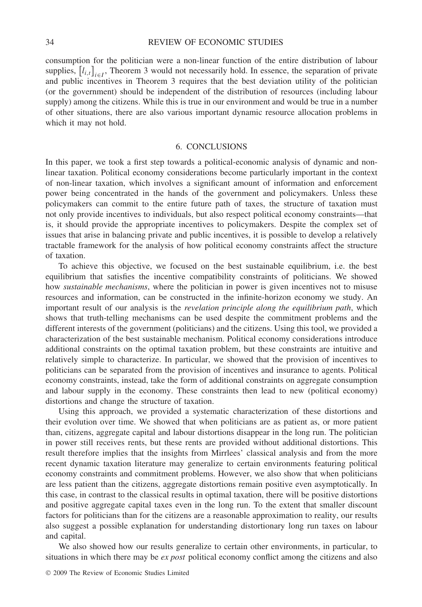## 34 REVIEW OF ECONOMIC STUDIES

consumption for the politician were a non-linear function of the entire distribution of labour supplies,  $[l_{i,t}]_{i \in I}$ , Theorem 3 would not necessarily hold. In essence, the separation of private and public incentives in Theorem 3 requires that the best deviation utility of the politician (or the government) should be independent of the distribution of resources (including labour supply) among the citizens. While this is true in our environment and would be true in a number of other situations, there are also various important dynamic resource allocation problems in which it may not hold.

## 6. CONCLUSIONS

In this paper, we took a first step towards a political-economic analysis of dynamic and nonlinear taxation. Political economy considerations become particularly important in the context of non-linear taxation, which involves a significant amount of information and enforcement power being concentrated in the hands of the government and policymakers. Unless these policymakers can commit to the entire future path of taxes, the structure of taxation must not only provide incentives to individuals, but also respect political economy constraints—that is, it should provide the appropriate incentives to policymakers. Despite the complex set of issues that arise in balancing private and public incentives, it is possible to develop a relatively tractable framework for the analysis of how political economy constraints affect the structure of taxation.

To achieve this objective, we focused on the best sustainable equilibrium, i.e. the best equilibrium that satisfies the incentive compatibility constraints of politicians. We showed how *sustainable mechanisms*, where the politician in power is given incentives not to misuse resources and information, can be constructed in the infinite-horizon economy we study. An important result of our analysis is the *revelation principle along the equilibrium path*, which shows that truth-telling mechanisms can be used despite the commitment problems and the different interests of the government (politicians) and the citizens. Using this tool, we provided a characterization of the best sustainable mechanism. Political economy considerations introduce additional constraints on the optimal taxation problem, but these constraints are intuitive and relatively simple to characterize. In particular, we showed that the provision of incentives to politicians can be separated from the provision of incentives and insurance to agents. Political economy constraints, instead, take the form of additional constraints on aggregate consumption and labour supply in the economy. These constraints then lead to new (political economy) distortions and change the structure of taxation.

Using this approach, we provided a systematic characterization of these distortions and their evolution over time. We showed that when politicians are as patient as, or more patient than, citizens, aggregate capital and labour distortions disappear in the long run. The politician in power still receives rents, but these rents are provided without additional distortions. This result therefore implies that the insights from Mirrlees' classical analysis and from the more recent dynamic taxation literature may generalize to certain environments featuring political economy constraints and commitment problems. However, we also show that when politicians are less patient than the citizens, aggregate distortions remain positive even asymptotically. In this case, in contrast to the classical results in optimal taxation, there will be positive distortions and positive aggregate capital taxes even in the long run. To the extent that smaller discount factors for politicians than for the citizens are a reasonable approximation to reality, our results also suggest a possible explanation for understanding distortionary long run taxes on labour and capital.

We also showed how our results generalize to certain other environments, in particular, to situations in which there may be *ex post* political economy conflict among the citizens and also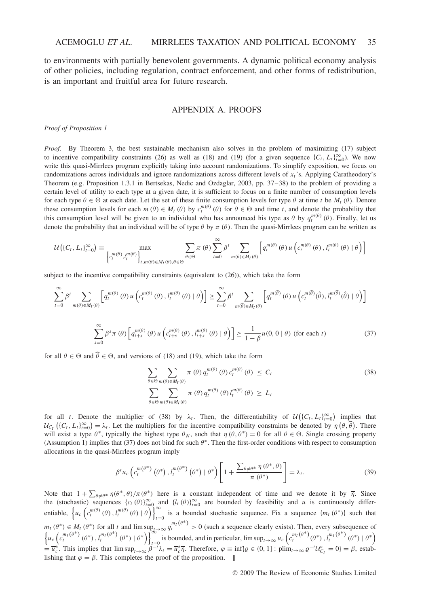to environments with partially benevolent governments. A dynamic political economy analysis of other policies, including regulation, contract enforcement, and other forms of redistribution, is an important and fruitful area for future research.

## APPENDIX A. PROOFS

*Proof of Proposition 1*

*Proof.* By Theorem 3, the best sustainable mechanism also solves in the problem of maximizing (17) subject to incentive compatibility constraints (26) as well as (18) and (19) (for a given sequence  $\{C_t, L_t\}_{t=0}^{\infty}$ ). We now write this quasi-Mirrlees program explicitly taking into account randomizations. To simplify exposition, we focus on randomizations across individuals and ignore randomizations across different levels of *xt*'s. Applying Caratheodory's Theorem (e.g. Proposition 1.3.1 in Bertsekas, Nedic and Ozdaglar, 2003, pp. 37–38) to the problem of providing a certain level of utility to each type at a given date, it is sufficient to focus on a finite number of consumption levels for each type  $\theta \in \Theta$  at each date. Let the set of these finite consumption levels for type  $\theta$  at time *t* be  $M_t(\theta)$ . Denote these consumption levels for each  $m(\theta) \in M_t(\theta)$  by  $c_t^{m(\theta)}(\theta)$  for  $\theta \in \Theta$  and time *t*, and denote the probability that this consumption level will be given to an individual who has announced his type as  $\theta$  by  $q_t^{m(\theta)}(\theta)$ . Finally, let us denote the probability that an individual will be of type *θ* by *π (θ)*. Then the quasi-Mirrlees program can be written as

$$
\mathcal{U}\left(\left\{C_{t}, L_{t}\right\}_{t=0}^{\infty}\right) \equiv \max_{\left\{c_{t}^{m(\theta)}, l_{t}^{m(\theta)}\right\}_{t,m(\theta)\in M_{t}(\theta),\theta\in\Theta}} \sum_{\theta\in\Theta} \pi(\theta) \sum_{t=0}^{\infty} \beta^{t} \sum_{m(\theta)\in M_{t}(\theta)} \left[q_{t}^{m(\theta)}(\theta) u\left(c_{t}^{m(\theta)}(\theta), l_{t}^{m(\theta)}(\theta) \mid \theta\right)\right]
$$

subject to the incentive compatibility constraints (equivalent to (26)), which take the form

$$
\sum_{t=0}^{\infty} \beta^{t} \sum_{m(\theta) \in M_{t}(\theta)} \left[ q_{t}^{m(\theta)}(\theta) u \left( c_{t}^{m(\theta)}(\theta), l_{t}^{m(\theta)}(\theta) | \theta \right) \right] \geq \sum_{t=0}^{\infty} \beta^{t} \sum_{m(\theta) \in M_{t}(\theta)} \left[ q_{t}^{m(\theta)}(\theta) u \left( c_{t}^{m(\theta)}(\hat{\theta}), l_{t}^{m(\theta)}(\hat{\theta}) | \theta \right) \right]
$$

$$
\sum_{s=0}^{\infty} \beta^{s} \pi(\theta) \left[ q_{t+s}^{m(\theta)}(\theta) u \left( c_{t+s}^{m(\theta)}(\theta), l_{t+s}^{m(\theta)}(\theta) | \theta \right) \right] \geq \frac{1}{1-\beta} u(0, 0 | \theta) \text{ (for each } t)
$$
(37)

for all  $\theta \in \Theta$  and  $\widehat{\theta} \in \Theta$ , and versions of (18) and (19), which take the form

$$
\sum_{\theta \in \Theta} \sum_{m(\theta) \in M_t(\theta)} \pi(\theta) q_t^{m(\theta)}(\theta) c_t^{m(\theta)}(\theta) \le C_t
$$
\n
$$
\sum_{\theta \in \Theta} \sum_{m(\theta) \in M_t(\theta)} \pi(\theta) q_t^{m(\theta)}(\theta) l_t^{m(\theta)}(\theta) \ge L_t
$$
\n(38)

for all *t*. Denote the multiplier of (38) by  $\lambda_t$ . Then, the differentiability of  $\mathcal{U}(\{C_t, L_t\}_{t=0}^{\infty})$  implies that  $U_{C_t}$  ({ $C_t$ ,  $L_t$ } $_{t=0}^{\infty}$ ) =  $\lambda_t$ . Let the multipliers for the incentive compatibility constraints be denoted by *η* ( $\theta$ ,  $\hat{\theta}$ ). There will exist a type  $\theta^*$ , typically the highest type  $\theta_N$ , such that  $\eta(\theta, \theta^*) = 0$  for all  $\theta \in \Theta$ . Single crossing property (Assumption 1) implies that (37) does not bind for such *θ*∗*.* Then the first-order conditions with respect to consumption allocations in the quasi-Mirrlees program imply

$$
\beta^{t} u_{c} \left( c_{t}^{m(\theta^{*})} \left( \theta^{*} \right), l_{t}^{m(\theta^{*})} \left( \theta^{*} \right) \mid \theta^{*} \right) \left[ 1 + \frac{\sum_{\theta \neq \theta^{*}} \eta \left( \theta^{*}, \theta \right)}{\pi \left( \theta^{*} \right)} \right] = \lambda_{t}.
$$
\n(39)

Note that  $1 + \sum_{\theta \neq \theta^*} \eta(\theta^*, \theta) / \pi(\theta^*)$  here is a constant independent of time and we denote it by  $\overline{\eta}$ . Since the (stochastic) sequences  $\{c_t(\theta)\}_{t=0}^{\infty}$  and  $\{l_t(\theta)\}_{t=0}^{\infty}$  are bounded by feasibility and *u* is continuously differentiable,  $\left\{ u_c \left( c_t^{m(\theta)}(\theta), l_t^{m(\theta)}(\theta) | \theta \right) \right\}_{t=0}^{\infty}$  is a bounded stochastic sequence. Fix a sequence  $\{m_t(\theta^*)\}$  such that  $m_t(\theta^*) \in M_t(\theta^*)$  for all t and  $\limsup_{t \to \infty} \frac{q^{m_t}(\theta^*)}{q^{n_t}} > 0$  (such a sequence clearly exists). Then, every subsequence of  $\left\{u_c\left(c_t^{m_t}(\theta^*)\left(\theta^*\right), t_t^{m_t}(\theta^*)\left(\theta^*\right) + \theta^*\right)\right\}_{\theta^*}$  is bounded, and in particular, is bounded, and in particular,  $\limsup_{t\to\infty} u_c\left(c_t^{m_t(\theta^*)}(\theta^*) , l_t^{m_t(\theta^*)}(\theta^*) | \theta^*\right)$  $=\overline{u_c^*}$ . This implies that  $\limsup_{t\to\infty}\overline{\beta^{-t}}\lambda_t = \overline{u_c^*}\overline{\eta}$ . Therefore,  $\varphi \equiv \inf\{\varrho \in (0,1]: \text{plim}_{t\to\infty}\varrho^{-t}\mathcal{U}_{C_t}^* = 0\} = \beta$ , establishing lishing that  $\varphi = \beta$ . This completes the proof of the proposition.  $\parallel$ 

© 2009 The Review of Economic Studies Limited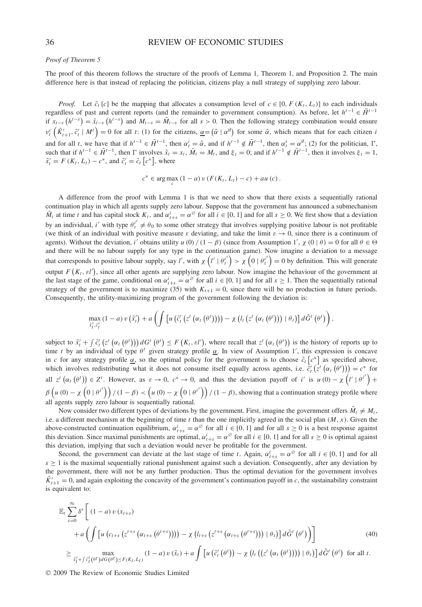#### *Proof of Theorem 5*

The proof of this theorem follows the structure of the proofs of Lemma 1, Theorem 1, and Proposition 2. The main difference here is that instead of replacing the politician, citizens play a null strategy of supplying zero labour.

*Proof.* Let  $\tilde{c}_t$  [*c*] be the mapping that allocates a consumption level of  $c \in [0, F(K_t, L_t)]$  to each individuals regardless of past and current reports (and the remainder to government consumption). As before, let  $h^{t-1} \in \tilde{H}^{t-1}$ if  $x_{t-s}(h^{t-s}) = \tilde{x}_{t-s}(h^{t-s})$  and  $M_{t-s} = \tilde{M}_{t-s}$  for all  $s > 0$ . Then the following strategy combination would ensure  $v_i^c(\tilde{K}'_{t+1}, \tilde{c}'_t | M') = 0$  for all t: (1) for the citizens,  $\underline{\alpha} = (\tilde{\alpha} \mid \alpha^{\emptyset})$  for some  $\tilde{\alpha}$ , which means that for each citizen i and for all t, we have that if  $h^{t-1} \in \tilde{H}^{t-1}$ , then  $\alpha_t^i = \tilde{\alpha}$ , and if  $h^{t-1} \notin \tilde{H}^{t-1}$ , then  $\alpha_t^i = \alpha^{\emptyset}$ ; (2) for the politician,  $\Gamma$ , such that if  $h^{t-1} \in \tilde{H}^{t-1}$ , then  $\Gamma$  involves  $\tilde{x}_t = x_t$ ,  $\tilde{M}_t = M_t$ , and  $\xi_t = 0$ ; and if  $h^{t-1} \notin \tilde{H}^{t-1}$ , then it involves  $\xi_t = 1$ ,  $\tilde{x}'_t = F(K_t, L_t) - c^*$ , and  $\tilde{c}'_t = \tilde{c}_t [c^*]$ , where

$$
c^* \in \arg\max_c (1-a) v (F(K_t, L_t) - c) + au (c).
$$

A difference from the proof with Lemma 1 is that we need to show that there exists a sequentially rational continuation play in which all agents supply zero labour. Suppose that the government has announced a submechanism  $\tilde{M}_t$  at time *t* and has capital stock  $K_t$ , and  $\alpha^i_{t+s} = \alpha^\emptyset$  for all  $i \in [0, 1]$  and for all  $s \ge 0$ . We first show that a deviation by an individual, *i'* with type  $\theta_i^{i'} \neq \theta_0$  to some other strategy that involves supplying positive labour is not profitable (we think of an individual with positive measure  $\varepsilon$  deviating, and take the limit  $\varepsilon \to 0$ , since there is a continuum of agents). Without the deviation, *i'* obtains utility *u* (0) /  $(1 - \beta)$  (since from Assumption 1',  $\chi$  (0)  $\theta$ ) = 0 for all  $\theta \in \Theta$ and there will be no labour supply for any type in the continuation game). Now imagine a deviation to a message that corresponds to positive labour supply, say *l'*, with  $\chi\left(l' \mid \theta_i^{i'}\right) > \chi\left(0 \mid \theta_i^{i'}\right) = 0$  by definition. This will generate output  $F(K_t, \varepsilon l')$ , since all other agents are supplying zero labour. Now imagine the behaviour of the government at the last stage of the game, conditional on  $\alpha_{t+s}^i = \alpha^\emptyset$  for all  $i \in [0, 1]$  and for all  $s \ge 1$ . Then the sequentially rational strategy of the government is to maximize (35) with  $K_{t+1} = 0$ , since there will be no production in future periods. Consequently, the utility-maximizing program of the government following the deviation is:

$$
\max_{\tilde{x}'_t, \tilde{c}'_t} (1-a) v(\tilde{x}'_t) + a \left( \int \left[ u(\tilde{c}'_t(z^t(\alpha_t(\theta^t)))) - \chi (l_t(z^t(\alpha_t(\theta^t))) | \theta_t) \right] d\tilde{G}^t(\theta^t) \right),
$$

subject to  $\tilde{x}'_t + \int \tilde{c}'_t (\mathcal{z}^t (\alpha_t (\theta^t))) dG' (\theta^t) \leq F(K_t, \varepsilon t'),$  where recall that  $\mathcal{z}^t (\alpha_t (\theta^t))$  is the history of reports up to time *t* by an individual of type *θ<sup>t</sup>* given strategy profile *α*. In view of Assumption 1 , this expression is concave in *c* for any strategy profile  $\alpha$ , so the optimal policy for the government is to choose  $\tilde{c}_t$  [ $c^*$ ] as specified above, which involves redistributing what it does not consume itself equally across agents, i.e.  $\tilde{c}'_t(\tilde{z}^t(\alpha_t(\theta^t))) = c^*$  for all  $z^t(\alpha_t(\theta^t)) \in Z^t$ . However, as  $\varepsilon \to 0$ ,  $c^* \to 0$ , and thus the deviation payoff of i' is  $u(0) - \chi(\theta^t) +$  $\beta\left(u\left(0\right)-\chi\left(0\mid\theta^{i'}\right)\right)/(1-\beta) < \left(u\left(0\right)-\chi\left(0\mid\theta^{i'}\right)\right)/(1-\beta)$ , showing that a continuation strategy profile where all agents supply zero labour is sequentially rational.

Now consider two different types of deviations by the government. First, imagine the government offers  $\tilde{M}_t \neq M_t$ , i.e. a different mechanism at the beginning of time  $t$  than the one implicitly agreed in the social plan  $(M, x)$ . Given the above-constructed continuation equilibrium,  $\alpha_{t+s}^i = \alpha^\emptyset$  for all  $i \in [0, 1]$  and for all  $s \ge 0$  is a best response against this deviation. Since maximal punishments are optimal,  $\alpha_{t+s}^i = \alpha^\emptyset$  for all  $i \in [0, 1]$  and for all  $s \ge 0$  is optimal against this deviation, implying that such a deviation would never be profitable for the government.

Second, the government can deviate at the last stage of time *t*. Again,  $\alpha_{t+s}^i = \alpha^\emptyset$  for all  $i \in [0, 1]$  and for all  $s \geq 1$  is the maximal sequentially rational punishment against such a deviation. Consequently, after any deviation by the government, there will not be any further production. Thus the optimal deviation for the government involves  $\tilde{K}'_{t+1} = 0$ , and again exploiting the concavity of the government's continuation payoff in *c*, the sustainability constraint is equivalent to:

$$
\mathbb{E}_{t} \sum_{s=0}^{\infty} \delta^{s} \left[ (1-a) v(x_{t+s}) + a \left( \int \left[ u \left( c_{t+s} \left( z^{t+s} \left( \alpha_{t+s} \left( \theta^{t+s} \right) \right) \right) \right) - \chi \left( l_{t+s} \left( z^{t+s} \left( \alpha_{t+s} \left( \theta^{t+s} \right) \right) \right) \mid \theta_{t} \right) \right] d\tilde{G}^{t} \left( \theta^{t} \right) \right) \right] \newline \geq \sum_{\tilde{x}'_{t} + \tilde{f} \, \tilde{e}'_{t} \left( \theta^{t} \right) dG \left( \theta^{t} \right) \leq F(K_{t}, L_{t})} (1-a) v(\tilde{x}_{t}) + a \int \left[ u \left( \tilde{e}'_{t} \left( \theta^{t} \right) \right) - \chi \left( l_{t} \left( \left( z^{t} \left( \alpha_{t} \left( \theta^{t} \right) \right) \right) \right) \mid \theta_{t} \right) \right] d\tilde{G}^{t} \left( \theta^{t} \right) \text{ for all } t. \tag{40}
$$

© 2009 The Review of Economic Studies Limited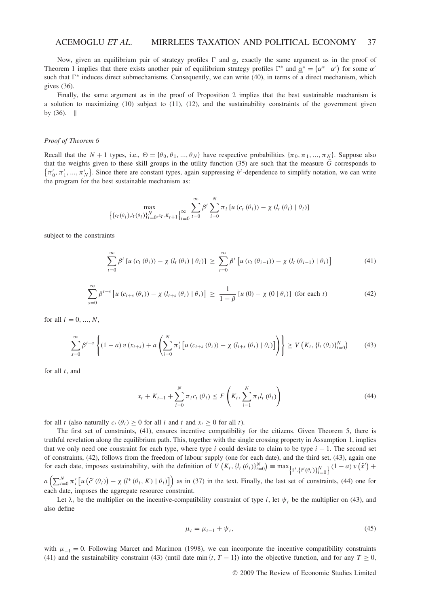## ACEMOGLU *ET AL*. MIRRLEES TAXATION AND POLITICAL ECONOMY 37

Now, given an equilibrium pair of strategy profiles  $\Gamma$  and  $\alpha$ , exactly the same argument as in the proof of Theorem 1 implies that there exists another pair of equilibrium strategy profiles  $\Gamma^*$  and  $\underline{\alpha}^* = (\alpha^* | \alpha')$  for some  $\alpha'$ such that  $\Gamma^*$  induces direct submechanisms. Consequently, we can write (40), in terms of a direct mechanism, which gives (36).

Finally, the same argument as in the proof of Proposition 2 implies that the best sustainable mechanism is a solution to maximizing (10) subject to (11), (12), and the sustainability constraints of the government given by  $(36)$ . ||

#### *Proof of Theorem 6*

Recall that the  $N + 1$  types, i.e.,  $\Theta = {\theta_0, \theta_1, ..., \theta_N}$  have respective probabilities  ${\pi_0, \pi_1, ..., \pi_N}$ . Suppose also that the weights given to these skill groups in the utility function (35) are such that the measure  $\tilde{G}$  corresponds to  $\{\pi'_0, \pi'_1, \dots, \pi'_N\}$ . Since there are constant types, again suppressing *h*<sup>1</sup>-dependence to simplify notation, we can write the program for the best sustainable mechanism as:

$$
\max_{\left\{\left\{c_{t}(\theta_{i}), l_{t}(\theta_{i})\right\}_{i=0}^{N}, x_{t}, k_{t+1}\right\}_{t=0}^{\infty}} \sum_{t=0}^{\infty} \beta^{t} \sum_{i=0}^{N} \pi_{i} \left[ u\left(c_{t}\left(\theta_{i}\right)\right) - \chi\left(l_{t}\left(\theta_{i}\right) \mid \theta_{i}\right) \right]
$$

subject to the constraints

$$
\sum_{t=0}^{\infty} \beta^t \left[ u \left( c_t \left( \theta_i \right) \right) - \chi \left( l_t \left( \theta_i \right) \mid \theta_i \right) \right] \ge \sum_{t=0}^{\infty} \beta^t \left[ u \left( c_t \left( \theta_{i-1} \right) \right) - \chi \left( l_t \left( \theta_{i-1} \right) \mid \theta_i \right) \right] \tag{41}
$$

$$
\sum_{s=0}^{\infty} \beta^{t+s} \left[ u \left( c_{t+s} \left( \theta_i \right) \right) - \chi \left( l_{t+s} \left( \theta_i \right) \mid \theta_i \right) \right] \ge \frac{1}{1-\beta} \left[ u \left( 0 \right) - \chi \left( 0 \mid \theta_i \right) \right] \text{ (for each } t \text{)}
$$
\n
$$
\tag{42}
$$

for all  $i = 0, ..., N$ ,

$$
\sum_{s=0}^{\infty} \beta^{t+s} \left\{ (1-a) \, v \left( x_{t+s} \right) + a \left( \sum_{i=0}^{N} \pi_i' \left[ u \left( c_{t+s} \left( \theta_i \right) \right) - \chi \left( l_{t+s} \left( \theta_i \right) \mid \theta_i \right) \right] \right) \right\} \ge V \left( K_t, \{ l_t \left( \theta_i \right) \}_{i=0}^{N} \right) \tag{43}
$$

for all *t*, and

$$
x_{t} + K_{t+1} + \sum_{i=0}^{N} \pi_{i} c_{t} (\theta_{i}) \le F\left(K_{t}, \sum_{i=1}^{N} \pi_{i} l_{t} (\theta_{i})\right)
$$
(44)

for all *t* (also naturally  $c_t(\theta_i) \geq 0$  for all *i* and *t* and  $x_t \geq 0$  for all *t*).

The first set of constraints, (41), ensures incentive compatibility for the citizens. Given Theorem 5, there is truthful revelation along the equilibrium path. This, together with the single crossing property in Assumption 1, implies that we only need one constraint for each type, where type *i* could deviate to claim to be type  $i - 1$ . The second set of constraints, (42), follows from the freedom of labour supply (one for each date), and the third set, (43), again one for each date, imposes sustainability, with the definition of  $V(K_t, \{l_t(\theta_i)\}_{i=0}^N) = \max_{\{\tilde{x}', \{\tilde{c}'(\theta_i)\}_{i=0}^N\}} (1-a) v(\tilde{x}') +$ 

 $a\left(\sum_{i=0}^{N} \pi'_i \left[ u\left(\tilde{c}'(\theta_i)\right) - \chi(l^*(\theta_i,K) | \theta_i) \right] \right)$  as in (37) in the text. Finally, the last set of constraints, (44) one for each date, imposes the aggregate resource constraint.

Let  $\lambda_i$  be the multiplier on the incentive-compatibility constraint of type *i*, let  $\psi_t$  be the multiplier on (43), and also define

$$
\mu_t = \mu_{t-1} + \psi_t,\tag{45}
$$

with  $\mu_{-1} = 0$ . Following Marcet and Marimon (1998), we can incorporate the incentive compatibility constraints (41) and the sustainability constraint (43) (until date min  $\{t, T - 1\}$ ) into the objective function, and for any  $T \ge 0$ ,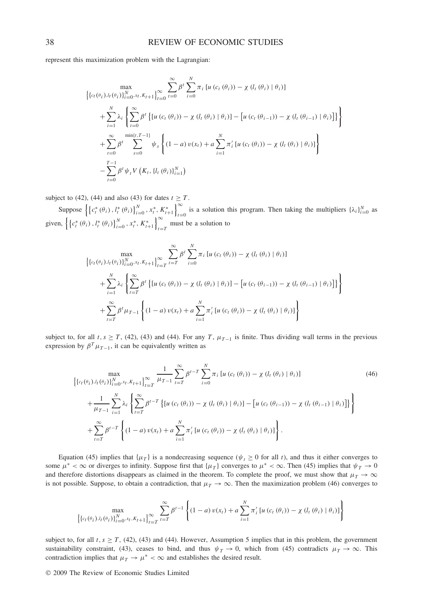represent this maximization problem with the Lagrangian:

$$
\left\{ \{c_t(\theta_i).l_t(\theta_i)\}_{i=0}^N.x_t, K_{t+1} \right\}_{t=0}^{\infty} \sum_{t=0}^{\infty} \beta^t \sum_{i=0}^N \pi_i \left[ u(c_t(\theta_i)) - \chi(l_t(\theta_i) | \theta_i) \right] + \sum_{i=1}^N \lambda_i \left\{ \sum_{t=0}^{\infty} \beta^t \left\{ \left[ u(c_t(\theta_i)) - \chi(l_t(\theta_i) | \theta_i) \right] - \left[ u(c_t(\theta_{i-1})) - \chi(l_t(\theta_{i-1}) | \theta_i) \right] \right\} \right\} + \sum_{t=0}^N \beta^t \sum_{s=0}^{\min\{t, T-1\}} \psi_s \left\{ (1-a) v(x_t) + a \sum_{i=1}^N \pi'_i \left[ u(c_t(\theta_i)) - \chi(l_t(\theta_i) | \theta_i) \right] \right\} - \sum_{t=0}^{T-1} \beta^t \psi_t V\left( K_t, \{l_t(\theta_i)\}_{i=1}^N \right)
$$

subject to (42), (44) and also (43) for dates  $t \geq T$ .

Suppose  $\left\{ \left\{ c_i^*(\theta_i), l_i^*(\theta_i) \right\}_{i=0}^N, x_i^*, K_{t+1}^* \right\}_{t=0}^{\infty}$  is a solution this program. Then taking the multipliers  $\{\lambda_i\}_{i=0}^N$  as given,  $\left\{ \left\{ c_i^*(\theta_i), l_i^*(\theta_i) \right\}_{i=0}^N, x_i^*, K_{t+1}^* \right\}_{i=T}^{\infty}$  must be a solution to

$$
\left\{ \{c_t(\theta_i).l_t(\theta_i)\}_{i=0}^N.x_t, K_{t+1} \right\}_{t=T}^{\infty} \sum_{i=T}^{\infty} \beta^t \sum_{i=0}^N \pi_i \left[ u(c_t(\theta_i)) - \chi(l_t(\theta_i) | \theta_i) \right] + \sum_{i=1}^N \lambda_i \left\{ \sum_{t=T}^N \beta^t \left\{ \left[ u(c_t(\theta_i)) - \chi(l_t(\theta_i) | \theta_i) \right] - \left[ u(c_t(\theta_{i-1})) - \chi(l_t(\theta_{i-1}) | \theta_i) \right] \right\} \right\} + \sum_{t=T}^{\infty} \beta^t \mu_{T-1} \left\{ (1-a) v(x_t) + a \sum_{i=1}^N \pi_i^t \left[ u(c_t(\theta_i)) - \chi(l_t(\theta_i) | \theta_i) \right] \right\}
$$

subject to, for all *t*,  $s \geq T$ , (42), (43) and (44). For any *T*,  $\mu_{T-1}$  is finite. Thus dividing wall terms in the previous expression by  $\beta^T \mu_{T-1}$ , it can be equivalently written as

$$
\left\{ \{c_{t}(\theta_{i})\}_{t}^{l}(\theta_{i})\}_{i=0}^{N} \cdot x_{t} \cdot K_{t+1} \right\}_{t=T}^{\infty} \frac{1}{\mu_{T-1}} \sum_{t=T}^{\infty} \beta^{t-T} \sum_{i=0}^{N} \pi_{i} \left[ u\left(c_{t}(\theta_{i})\right) - \chi\left(l_{t}(\theta_{i})\right) \theta_{i}\right] \right\} + \frac{1}{\mu_{T-1}} \sum_{i=1}^{N} \lambda_{i} \left\{ \sum_{t=T}^{\infty} \beta^{t-T} \left\{ \left[ u\left(c_{t}(\theta_{i})\right) - \chi\left(l_{t}(\theta_{i})\right) \theta_{i}\right] \right] - \left[ u\left(c_{t}(\theta_{i-1})\right) - \chi\left(l_{t}(\theta_{i-1})\right) \theta_{i}\right] \right\} \right\} + \sum_{t=T}^{\infty} \beta^{t-T} \left\{ (1-a) v(x_{t}) + a \sum_{i=1}^{N} \pi_{i}^{\prime} \left[ u\left(c_{t}(\theta_{i})\right) - \chi\left(l_{t}(\theta_{i})\right) \theta_{i}\right] \right\}.
$$
\n(46)

Equation (45) implies that  $\{\mu_T\}$  is a nondecreasing sequence ( $\psi_t \ge 0$  for all *t*), and thus it either converges to some  $\mu^* < \infty$  or diverges to infinity. Suppose first that  $\{\mu_T\}$  converges to  $\mu^* < \infty$ . Then (45) implies that  $\psi_T \to 0$ and therefore distortions disappears as claimed in the theorem. To complete the proof, we must show that  $\mu_T \to \infty$ is not possible. Suppose, to obtain a contradiction, that  $\mu_T \to \infty$ . Then the maximization problem (46) converges to

$$
\max_{\left\{\left\{c_{t}(\theta_{i}), l_{t}(\theta_{i})\right\}_{i=0}^{N}, x_{t}, K_{t+1}\right\}_{t=T}} \sum_{t=T}^{\infty} \beta^{t-1} \left\{(1-a) v(x_{t}) + a \sum_{i=1}^{N} \pi_{i}' \left[u\left(c_{t}(\theta_{i})\right) - \chi\left(l_{t}(\theta_{i}\right) \mid \theta_{i}\right)\right]\right\}
$$

subject to, for all  $t, s \geq T$ , (42), (43) and (44). However, Assumption 5 implies that in this problem, the government sustainability constraint, (43), ceases to bind, and thus  $\psi_T \to 0$ , which from (45) contradicts  $\mu_T \to \infty$ . This contradiction implies that  $\mu_T \to \mu^* < \infty$  and establishes the desired result.

© 2009 The Review of Economic Studies Limited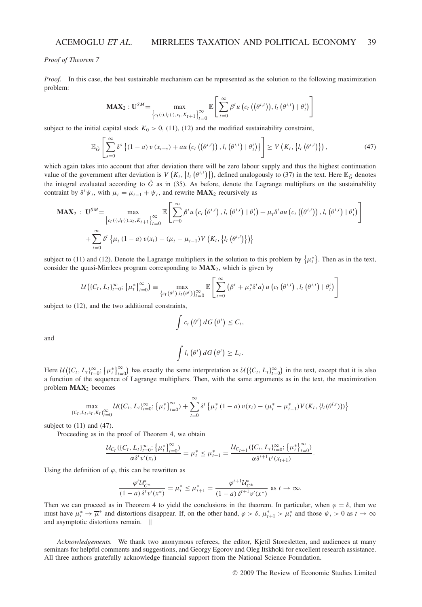*Proof of Theorem 7*

*Proof.* In this case, the best sustainable mechanism can be represented as the solution to the following maximization problem:

$$
\mathbf{MAX}_{2} : \mathbf{U}^{SM} = \max_{\left\{c_{I}(\cdot), l_{I}(\cdot), x_{I}, K_{I+1}\right\}_{I=0}^{\infty}} \mathbb{E}\left[\sum_{t=0}^{\infty} \beta^{t} u\left(c_{t}\left((\theta^{i,t})\right), l_{t}\left(\theta^{i,t}\right) \mid \theta_{t}^{i}\right)\right]
$$

subject to the initial capital stock  $K_0 > 0$ , (11), (12) and the modified sustainability constraint,

$$
\mathbb{E}_{\tilde{G}}\left[\sum_{s=0}^{\infty} \delta^s \left\{(1-a) v\left(x_{t+s}\right)+au\left(c_t\left(\left(\theta^{i,t}\right)\right),l_t\left(\theta^{i,t}\right) \mid \theta_t^i\right)\right\}\right] \geq V\left(K_t,\left\{l_t\left(\theta^{i,t}\right)\right\}\right),\tag{47}
$$

which again takes into account that after deviation there will be zero labour supply and thus the highest continuation value of the government after deviation is  $V(K_t, \{l_t(\theta^{i,t})\})$ , defined analogously to (37) in the text. Here  $\mathbb{E}_{\tilde{G}}$  denotes the integral evaluated according to  $\tilde{G}$  as in (35). As before, denote the Lagrange multipliers on the sustainability contraint by  $\delta^t \psi_t$ , with  $\mu_t = \mu_{t-1} + \psi_t$ , and rewrite **MAX**<sub>2</sub> recursively as

$$
\mathbf{MAX}_{2} : \mathbf{U}^{SM} = \max_{\left\{c_{I}(\cdot), l_{I}(\cdot), x_{I}, K_{I+1}\right\}_{I=0}^{\infty}} \mathbb{E}\left[\sum_{t=0}^{\infty} \beta^{t} u\left(c_{I}\left(\theta^{i,t}\right), l_{I}\left(\theta^{i,t}\right) | \theta_{I}^{i}\right) + \mu_{I} \delta^{t} a u\left(c_{I}\left(\left(\theta^{i,t}\right)\right), l_{I}\left(\theta^{i,t}\right) | \theta_{I}^{i}\right)\right] + \sum_{t=0}^{\infty} \delta^{t} \left\{\mu_{I}\left(1-a\right) v(x_{t}) - (\mu_{I} - \mu_{I-1}) V\left(K_{I}, \left\{l_{I}\left(\theta^{i,t}\right)\right\}\right)\right\}
$$

subject to (11) and (12). Denote the Lagrange multipliers in the solution to this problem by  $\{\mu_i^*\}$ . Then as in the text, consider the quasi-Mirrlees program corresponding to **MAX**2, which is given by

$$
\mathcal{U}\big(\{C_t, L_t\}_{t=0}^{\infty}; \{\mu_t^*\}_{t=0}^{\infty}\big) \equiv \max_{\{c_t(\theta^t), l_t(\theta^t)\}_{t=0}^{\infty}} \mathbb{E}\left[\sum_{t=0}^{\infty} (\beta^t + \mu_t^* \delta^t a) u\left(c_t(\theta^{i,t}), l_t(\theta^{i,t}) | \theta_t^i\right)\right]
$$

subject to (12), and the two additional constraints,

$$
\int c_t \left(\theta^t\right) dG\left(\theta^t\right) \leq C_t,
$$

and

$$
\int l_t\left(\theta^t\right)dG\left(\theta^t\right)\geq L_t.
$$

Here  $\mathcal{U}((C_t, L_t)_{t=0}^{\infty}; {\mu_t^*}_{t=0}^{\infty})$  has exactly the same interpretation as  $\mathcal{U}((C_t, L_t)_{t=0}^{\infty})$  in the text, except that it is also a function of the sequence of Lagrange multipliers. Then, with the same arguments as in the text, the maximization problem **MAX**<sup>2</sup> becomes

$$
\max_{\{C_t, L_t, x_t, K_t\}_{t=0}^{\infty}} \mathcal{U}(\{C_t, L_t\}_{t=0}^{\infty}; \{\mu_t^*\}_{t=0}^{\infty}) + \sum_{t=0}^{\infty} \delta^t \{\mu_t^* (1-a) v(x_t) - (\mu_t^* - \mu_{t-1}^*) V(K_t, \{l_t(\theta^{i,t})\})\}
$$

subject to  $(11)$  and  $(47)$ .

Proceeding as in the proof of Theorem 4, we obtain

$$
\frac{\mathcal{U}_{C_t}(\{C_t, L_t\}_{t=0}^{\infty}; \{\mu_t^*\}_{t=0}^{\infty})}{\alpha \delta^t v'(x_t)} = \mu_t^* \leq \mu_{t+1}^* = \frac{\mathcal{U}_{C_{t+1}}(\{C_t, L_t\}_{t=0}^{\infty}; \{\mu_t^*\}_{t=0}^{\infty})}{\alpha \delta^{t+1} v'(x_{t+1})}.
$$

Using the definition of  $\varphi$ , this can be rewritten as

$$
\frac{\varphi^t \mathcal{U}_{\mathcal{C}^*}^*}{(1-a) \, \delta^t \nu'(x^*)} = \mu_t^* \le \mu_{t+1}^* = \frac{\varphi^{t+1} \mathcal{U}_{\mathcal{C}^*}^*}{(1-a) \, \delta^{t+1} \nu'(x^*)} \text{ as } t \to \infty.
$$

Then we can proceed as in Theorem 4 to yield the conclusions in the theorem. In particular, when  $\varphi = \delta$ , then we must have  $\mu_t^* \to \overline{\mu}^*$  and distortions disappear. If, on the other hand,  $\varphi > \delta$ ,  $\mu_{t+1}^* > \mu_t^*$  and those  $\psi_t > 0$  as  $t \to \infty$ and asymptotic distortions remain.  $\parallel$ 

*Acknowledgements.* We thank two anonymous referees, the editor, Kjetil Storesletten, and audiences at many seminars for helpful comments and suggestions, and Georgy Egorov and Oleg Itskhoki for excellent research assistance. All three authors gratefully acknowledge financial support from the National Science Foundation.

© 2009 The Review of Economic Studies Limited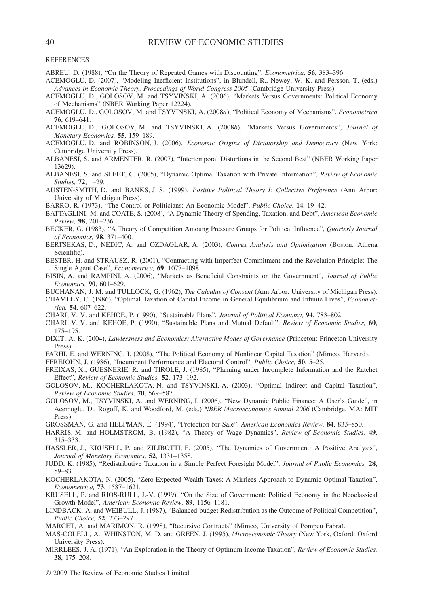REFERENCES

- ABREU, D. (1988), "On the Theory of Repeated Games with Discounting", *Econometrica,* **56**, 383–396.
- ACEMOGLU, D. (2007), "Modeling Inefficient Institutions", in Blundell, R., Newey, W. K. and Persson, T. (eds.) *Advances in Economic Theory, Proceedings of World Congress 2005* (Cambridge University Press).
- ACEMOGLU, D., GOLOSOV, M. and TSYVINSKI, A. (2006), "Markets Versus Governments: Political Economy of Mechanisms" (NBER Working Paper 12224).
- ACEMOGLU, D., GOLOSOV, M. and TSYVINSKI, A. (2008*a*), "Political Economy of Mechanisms", *Econometrica* **76**, 619–641.
- ACEMOGLU, D., GOLOSOV, M. and TSYVINSKI, A. (2008*b*), "Markets Versus Governments", *Journal of Monetary Economics,* **55**, 159–189.
- ACEMOGLU, D. and ROBINSON, J. (2006), *Economic Origins of Dictatorship and Democracy* (New York: Cambridge University Press).
- ALBANESI, S. and ARMENTER, R. (2007), "Intertemporal Distortions in the Second Best" (NBER Working Paper 13629).
- ALBANESI, S. and SLEET, C. (2005), "Dynamic Optimal Taxation with Private Information", *Review of Economic Studies,* **72**, 1–29.
- AUSTEN-SMITH, D. and BANKS, J. S. (1999), *Positive Political Theory I: Collective Preference* (Ann Arbor: University of Michigan Press).
- BARRO, R. (1973), "The Control of Politicians: An Economic Model", *Public Choice,* **14**, 19–42.
- BATTAGLINI, M. and COATE, S. (2008), "A Dynamic Theory of Spending, Taxation, and Debt", *American Economic Review,* **98**, 201–236.
- BECKER, G. (1983), "A Theory of Competition Amoung Pressure Groups for Political Influence", *Quarterly Journal of Economics,* **98**, 371–400.
- BERTSEKAS, D., NEDIC, A. and OZDAGLAR, A. (2003), *Convex Analysis and Optimization* (Boston: Athena Scientific).
- BESTER, H. and STRAUSZ, R. (2001), "Contracting with Imperfect Commitment and the Revelation Principle: The Single Agent Case", *Econometrica,* **69**, 1077–1098.
- BISIN, A. and RAMPINI, A. (2006), "Markets as Beneficial Constraints on the Government", *Journal of Public Economics,* **90**, 601–629.
- BUCHANAN, J. M. and TULLOCK, G. (1962), *The Calculus of Consent* (Ann Arbor: University of Michigan Press).
- CHAMLEY, C. (1986), "Optimal Taxation of Capital Income in General Equilibrium and Infinite Lives", *Econometrica,* **54**, 607–622.
- CHARI, V. V. and KEHOE, P. (1990), "Sustainable Plans", *Journal of Political Economy,* **94**, 783–802.
- CHARI, V. V. and KEHOE, P. (1990), "Sustainable Plans and Mutual Default", *Review of Economic Studies,* **60**, 175–195.
- DIXIT, A. K. (2004), *Lawlessness and Economics: Alternative Modes of Governance* (Princeton: Princeton University Press).
- FARHI, E. and WERNING, I. (2008), "The Political Economy of Nonlinear Capital Taxation" (Mimeo, Harvard).

FEREJOHN, J. (1986), "Incumbent Performance and Electoral Control", *Public Choice,* **50**, 5–25.

- FREIXAS, X., GUESNERIE, R. and TIROLE, J. (1985), "Planning under Incomplete Information and the Ratchet Effect", *Review of Economic Studies,* **52**, 173–192.
- GOLOSOV, M., KOCHERLAKOTA, N. and TSYVINSKI, A. (2003), "Optimal Indirect and Capital Taxation", *Review of Economic Studies,* **70**, 569–587.
- GOLOSOV, M., TSYVINSKI, A. and WERNING, I. (2006), "New Dynamic Public Finance: A User's Guide", in Acemoglu, D., Rogoff, K. and Woodford, M. (eds.) *NBER Macroeconomics Annual 2006* (Cambridge, MA: MIT Press).
- GROSSMAN, G. and HELPMAN, E. (1994), "Protection for Sale", *American Economics Review,* **84**, 833–850.
- HARRIS, M. and HOLMSTROM, B. (1982), "A Theory of Wage Dynamics", *Review of Economic Studies,* **49**, 315–333.
- HASSLER, J., KRUSELL, P. and ZILIBOTTI, F. (2005), "The Dynamics of Government: A Positive Analysis", *Journal of Monetary Economics,* **52**, 1331–1358.
- JUDD, K. (1985), "Redistributive Taxation in a Simple Perfect Foresight Model", *Journal of Public Economics,* **28**, 59–83.
- KOCHERLAKOTA, N. (2005), "Zero Expected Wealth Taxes: A Mirrlees Approach to Dynamic Optimal Taxation", *Econometrica,* **73**, 1587–1621.
- KRUSELL, P. and RIOS-RULL, J.-V. (1999), "On the Size of Government: Political Economy in the Neoclassical Growth Model", *American Economic Review,* **89**, 1156–1181.
- LINDBACK, A. and WEIBULL, J. (1987), "Balanced-budget Redistribution as the Outcome of Political Competition", *Public Choice,* **52**, 273–297.
- MARCET, A. and MARIMON, R. (1998), "Recursive Contracts" (Mimeo, University of Pompeu Fabra).
- MAS-COLELL, A., WHINSTON, M. D. and GREEN, J. (1995), *Microeconomic Theory* (New York, Oxford: Oxford University Press).
- MIRRLEES, J. A. (1971), "An Exploration in the Theory of Optimum Income Taxation", *Review of Economic Studies,* **38**, 175–208.